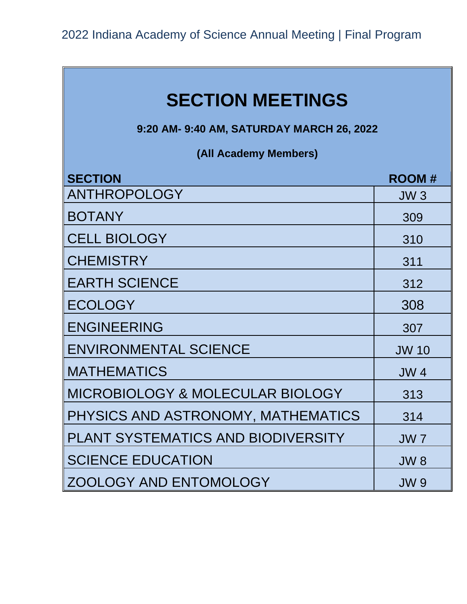**9:20 AM- 9:40 AM, SATURDAY MARCH 26, 2022**

**(All Academy Members)**

| <b>SECTION</b>                              | <b>ROOM#</b>    |
|---------------------------------------------|-----------------|
| ANTHROPOLOGY                                | JW <sub>3</sub> |
| <b>BOTANY</b>                               | 309             |
| <b>CELL BIOLOGY</b>                         | 310             |
| <b>CHEMISTRY</b>                            | 311             |
| <b>EARTH SCIENCE</b>                        | 312             |
| <b>ECOLOGY</b>                              | 308             |
| <b>ENGINEERING</b>                          | 307             |
| <b>ENVIRONMENTAL SCIENCE</b>                | <b>JW 10</b>    |
| <b>MATHEMATICS</b>                          | <b>JW4</b>      |
| <b>MICROBIOLOGY &amp; MOLECULAR BIOLOGY</b> | 313             |
| PHYSICS AND ASTRONOMY, MATHEMATICS          | 314             |
| <b>PLANT SYSTEMATICS AND BIODIVERSITY</b>   | <b>JW7</b>      |
| <b>SCIENCE EDUCATION</b>                    | JW8             |
| <b>ZOOLOGY AND ENTOMOLOGY</b>               | <b>JW9</b>      |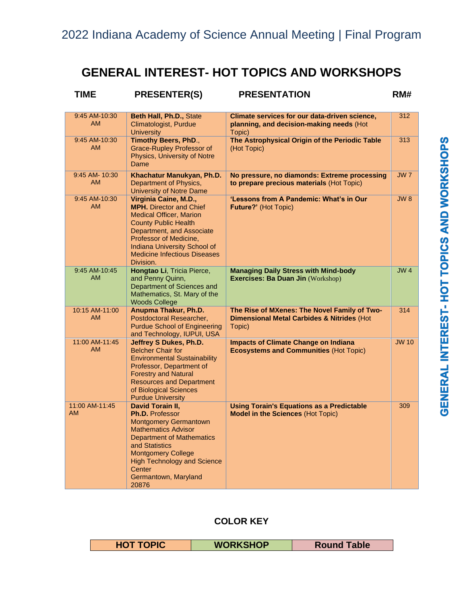# **GENERAL INTEREST- HOT TOPICS AND WORKSHOPS**

| <b>TIME</b>                 | <b>PRESENTER(S)</b>                                                                                                                                                                                                                                                        | <b>PRESENTATION</b>                                                                                             | RM#             |
|-----------------------------|----------------------------------------------------------------------------------------------------------------------------------------------------------------------------------------------------------------------------------------------------------------------------|-----------------------------------------------------------------------------------------------------------------|-----------------|
| 9:45 AM-10:30<br>AM.        | Beth Hall, Ph.D., State<br>Climatologist, Purdue<br><b>University</b>                                                                                                                                                                                                      | Climate services for our data-driven science,<br>planning, and decision-making needs (Hot<br>Topic)             | 312             |
| 9:45 AM-10:30<br><b>AM</b>  | Timothy Beers, PhD.,<br><b>Grace-Rupley Professor of</b><br>Physics, University of Notre<br>Dame                                                                                                                                                                           | The Astrophysical Origin of the Periodic Table<br>(Hot Topic)                                                   | 313             |
| 9:45 AM- 10:30<br><b>AM</b> | Khachatur Manukyan, Ph.D.<br>Department of Physics,<br><b>University of Notre Dame</b>                                                                                                                                                                                     | No pressure, no diamonds: Extreme processing<br>to prepare precious materials (Hot Topic)                       | JW <sub>7</sub> |
| 9:45 AM-10:30<br><b>AM</b>  | Virginia Caine, M.D.,<br><b>MPH.</b> Director and Chief<br><b>Medical Officer, Marion</b><br><b>County Public Health</b><br>Department, and Associate<br>Professor of Medicine,<br><b>Indiana University School of</b><br><b>Medicine Infectious Diseases</b><br>Division. | 'Lessons from A Pandemic: What's in Our<br>Future?' (Hot Topic)                                                 | JW8             |
| 9:45 AM-10:45<br><b>AM</b>  | Hongtao Li, Tricia Pierce,<br>and Penny Quinn,<br>Department of Sciences and<br>Mathematics, St. Mary of the<br><b>Woods College</b>                                                                                                                                       | <b>Managing Daily Stress with Mind-body</b><br>Exercises: Ba Duan Jin (Workshop)                                | JW <sub>4</sub> |
| 10:15 AM-11:00<br>AM.       | Anupma Thakur, Ph.D.<br>Postdoctoral Researcher,<br><b>Purdue School of Engineering</b><br>and Technology, IUPUI, USA                                                                                                                                                      | The Rise of MXenes: The Novel Family of Two-<br><b>Dimensional Metal Carbides &amp; Nitrides (Hot</b><br>Topic) | 314             |
| 11:00 AM-11:45<br><b>AM</b> | Jeffrey S Dukes, Ph.D.<br><b>Belcher Chair for</b><br><b>Environmental Sustainability</b><br>Professor, Department of<br><b>Forestry and Natural</b><br><b>Resources and Department</b><br>of Biological Sciences<br><b>Purdue University</b>                              | <b>Impacts of Climate Change on Indiana</b><br><b>Ecosystems and Communities (Hot Topic)</b>                    | <b>JW 10</b>    |
| 11:00 AM-11:45<br><b>AM</b> | David Torain II,<br>Ph.D. Professor<br><b>Montgomery Germantown</b><br><b>Mathematics Advisor</b><br><b>Department of Mathematics</b><br>and Statistics<br><b>Montgomery College</b><br><b>High Technology and Science</b><br>Center<br>Germantown, Maryland<br>20876      | <b>Using Torain's Equations as a Predictable</b><br><b>Model in the Sciences (Hot Topic)</b>                    | 309             |

# **COLOR KEY**

| wc<br>able<br>--- | <b>SHOP</b> |  |
|-------------------|-------------|--|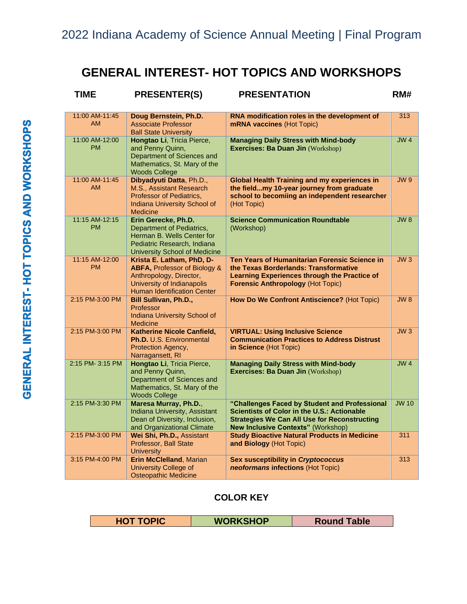# **GENERAL INTEREST- HOT TOPICS AND WORKSHOPS**

| <b>TIME</b>                 | <b>PRESENTER(S)</b>                                                                                                                                      | <b>PRESENTATION</b>                                                                                                                                                                              | RM#             |
|-----------------------------|----------------------------------------------------------------------------------------------------------------------------------------------------------|--------------------------------------------------------------------------------------------------------------------------------------------------------------------------------------------------|-----------------|
| 11:00 AM-11:45<br><b>AM</b> | Doug Bernstein, Ph.D.<br>Associate Professor<br><b>Ball State University</b>                                                                             | RNA modification roles in the development of<br>mRNA vaccines (Hot Topic)                                                                                                                        | 313             |
| 11:00 AM-12:00<br><b>PM</b> | Hongtao Li, Tricia Pierce,<br>and Penny Quinn,<br>Department of Sciences and<br>Mathematics, St. Mary of the<br><b>Woods College</b>                     | <b>Managing Daily Stress with Mind-body</b><br>Exercises: Ba Duan Jin (Workshop)                                                                                                                 | JW4             |
| 11:00 AM-11:45<br><b>AM</b> | Dibyadyuti Datta, Ph.D.,<br>M.S., Assistant Research<br>Professor of Pediatrics,<br>Indiana University School of<br><b>Medicine</b>                      | <b>Global Health Training and my experiences in</b><br>the fieldmy 10-year journey from graduate<br>school to becomiing an independent researcher<br>(Hot Topic)                                 | <b>JW9</b>      |
| 11:15 AM-12:15<br><b>PM</b> | Erin Gerecke, Ph.D.<br>Department of Pediatrics,<br>Herman B. Wells Center for<br>Pediatric Research, Indiana<br><b>University School of Medicine</b>    | <b>Science Communication Roundtable</b><br>(Workshop)                                                                                                                                            | JW8             |
| 11:15 AM-12:00<br><b>PM</b> | Krista E. Latham, PhD, D-<br>ABFA, Professor of Biology &<br>Anthropology, Director,<br>University of Indianapolis<br><b>Human Identification Center</b> | Ten Years of Humanitarian Forensic Science in<br>the Texas Borderlands: Transformative<br>Learning Experiences through the Practice of<br><b>Forensic Anthropology (Hot Topic)</b>               | JW3             |
| 2:15 PM-3:00 PM             | <b>Bill Sullivan, Ph.D.,</b><br>Professor<br>Indiana University School of<br><b>Medicine</b>                                                             | How Do We Confront Antiscience? (Hot Topic)                                                                                                                                                      | JW8             |
| 2:15 PM-3:00 PM             | <b>Katherine Nicole Canfield,</b><br>Ph.D. U.S. Environmental<br>Protection Agency,<br>Narragansett, RI                                                  | <b>VIRTUAL: Using Inclusive Science</b><br><b>Communication Practices to Address Distrust</b><br>in Science (Hot Topic)                                                                          | JW3             |
| 2:15 PM- 3:15 PM            | Hongtao Li, Tricia Pierce,<br>and Penny Quinn,<br>Department of Sciences and<br>Mathematics, St. Mary of the<br><b>Woods College</b>                     | <b>Managing Daily Stress with Mind-body</b><br>Exercises: Ba Duan Jin (Workshop)                                                                                                                 | JW <sub>4</sub> |
| 2:15 PM-3:30 PM             | Maresa Murray, Ph.D.,<br>Indiana University, Assistant<br>Dean of Diversity, Inclusion,<br>and Organizational Climate                                    | "Challenges Faced by Student and Professional<br>Scientists of Color in the U.S.: Actionable<br><b>Strategies We Can All Use for Reconstructing</b><br><b>New Inclusive Contexts" (Workshop)</b> | <b>JW 10</b>    |
| 2:15 PM-3:00 PM             | Wei Shi, Ph.D., Assistant<br>Professor, Ball State<br><b>University</b>                                                                                  | <b>Study Bioactive Natural Products in Medicine</b><br>and Biology (Hot Topic)                                                                                                                   | 311             |
| 3:15 PM-4:00 PM             | <b>Erin McClelland, Marian</b><br><b>University College of</b><br><b>Osteopathic Medicine</b>                                                            | <b>Sex susceptibility in Cryptococcus</b><br>neoformans infections (Hot Topic)                                                                                                                   | 313             |

## **COLOR KEY**

| PІC<br>нc | <b>KSHOP</b><br>WOR <sub>1</sub> | <b>Table</b> |
|-----------|----------------------------------|--------------|
|-----------|----------------------------------|--------------|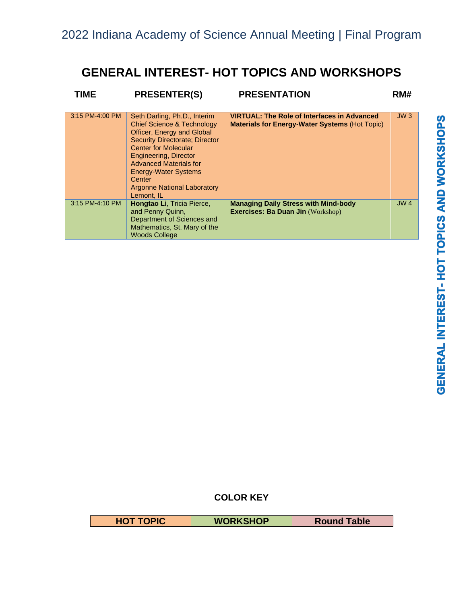# **GENERAL INTEREST- HOT TOPICS AND WORKSHOPS**

| TIME            | <b>PRESENTER(S)</b>                                                                                                                                                                                                                                                                                                                | <b>PRESENTATION</b>                                                                                         | RM#             |
|-----------------|------------------------------------------------------------------------------------------------------------------------------------------------------------------------------------------------------------------------------------------------------------------------------------------------------------------------------------|-------------------------------------------------------------------------------------------------------------|-----------------|
| 3:15 PM-4:00 PM | Seth Darling, Ph.D., Interim<br><b>Chief Science &amp; Technology</b><br>Officer, Energy and Global<br><b>Security Directorate: Director</b><br><b>Center for Molecular</b><br>Engineering, Director<br><b>Advanced Materials for</b><br><b>Energy-Water Systems</b><br>Center<br><b>Argonne National Laboratory</b><br>Lemont, IL | <b>VIRTUAL: The Role of Interfaces in Advanced</b><br><b>Materials for Energy-Water Systems (Hot Topic)</b> | JW3             |
| 3:15 PM-4:10 PM | <b>Hongtao Li, Tricia Pierce,</b><br>and Penny Quinn,<br>Department of Sciences and<br>Mathematics, St. Mary of the<br><b>Woods College</b>                                                                                                                                                                                        | <b>Managing Daily Stress with Mind-body</b><br><b>Exercises: Ba Duan Jin (Workshop)</b>                     | JW <sub>4</sub> |

# **COLOR KEY**

| <b>SOIC</b><br>1U | <b>WORKSHOP</b> | able<br>ROUND |
|-------------------|-----------------|---------------|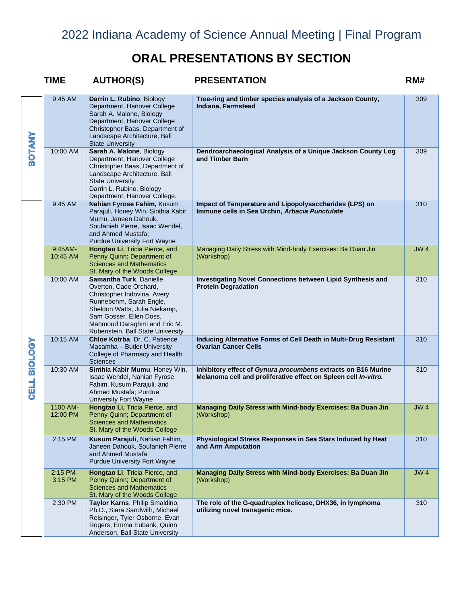|                | <b>TIME</b>           | <b>AUTHOR(S)</b>                                                                                                                                                                                                                             | <b>PRESENTATION</b>                                                                                                              | RM#             |
|----------------|-----------------------|----------------------------------------------------------------------------------------------------------------------------------------------------------------------------------------------------------------------------------------------|----------------------------------------------------------------------------------------------------------------------------------|-----------------|
|                | 9:45 AM               | Darrin L. Rubino, Biology<br>Department, Hanover College<br>Sarah A. Malone, Biology<br>Department, Hanover College<br>Christopher Baas, Department of<br>Landscape Architecture, Ball<br><b>State University</b>                            | Tree-ring and timber species analysis of a Jackson County,<br>Indiana, Farmstead                                                 | 309             |
| <b>SOTANY</b>  | 10:00 AM              | Sarah A. Malone, Biology<br>Department, Hanover College<br>Christopher Baas, Department of<br>Landscape Architecture, Ball<br><b>State University</b><br>Darrin L. Rubino, Biology<br>Department, Hanover College.                           | Dendroarchaeological Analysis of a Unique Jackson County Log<br>and Timber Barn                                                  | 309             |
|                | 9:45 AM               | Nahian Fyrose Fahim, Kusum<br>Parajuli, Honey Win, Sinthia Kabir<br>Mumu, Janeen Dahouk,<br>Soufanieh Pierre, Isaac Wendel,<br>and Ahmed Mustafa;<br><b>Purdue University Fort Wayne</b>                                                     | Impact of Temperature and Lipopolysaccharides (LPS) on<br>Immune cells in Sea Urchin, Arbacia Punctulate                         | 310             |
|                | $9:45AM-$<br>10:45 AM | Hongtao Li, Tricia Pierce, and<br>Penny Quinn; Department of<br><b>Sciences and Mathematics</b><br>St. Mary of the Woods College                                                                                                             | Managing Daily Stress with Mind-body Exercises: Ba Duan Jin<br>(Workshop)                                                        | JW <sub>4</sub> |
|                | 10:00 AM              | Samantha Turk, Danielle<br>Overton, Cade Orchard,<br>Christopher Indovina, Avery<br>Runnebohm, Sarah Engle,<br>Sheldon Watts, Julia Niekamp,<br>Sam Gosser, Ellen Doss,<br>Mahmoud Daraghmi and Eric M.<br>Rubenstein. Ball State University | <b>Investigating Novel Connections between Lipid Synthesis and</b><br><b>Protein Degradation</b>                                 | 310             |
| <b>ASOTOIS</b> | 10:15 AM              | Chloe Kotrba, Dr. C. Patience<br>Masamha - Butler University<br>College of Pharmacy and Health<br><b>Sciences</b>                                                                                                                            | Inducing Alternative Forms of Cell Death in Multi-Drug Resistant<br><b>Ovarian Cancer Cells</b>                                  | 310             |
| <b>CELL</b>    | 10:30 AM              | Sinthia Kabir Mumu, Honey Win,<br>Isaac Wendel, Nahian Fyrose<br>Fahim, Kusum Parajuli, and<br>Ahmed Mustafa; Purdue<br><b>University Fort Wayne</b>                                                                                         | Inhibitory effect of Gynura procumbens extracts on B16 Murine<br>Melanoma cell and proliferative effect on Spleen cell In-vitro. | 310             |
|                | 1100 AM-<br>12:00 PM  | Hongtao Li, Tricia Pierce, and<br>Penny Quinn; Department of<br><b>Sciences and Mathematics</b><br>St. Mary of the Woods College                                                                                                             | Managing Daily Stress with Mind-body Exercises: Ba Duan Jin<br>(Workshop)                                                        | <b>JW4</b>      |
|                | 2:15 PM               | Kusum Parajuli, Nahian Fahim,<br>Janeen Dahouk, Soufanieh Pierre<br>and Ahmed Mustafa<br><b>Purdue University Fort Wayne</b>                                                                                                                 | Physiological Stress Responses in Sea Stars Induced by Heat<br>and Arm Amputation                                                | 310             |
|                | 2:15 PM-<br>3:15 PM   | <b>Hongtao Li, Tricia Pierce, and</b><br>Penny Quinn; Department of<br><b>Sciences and Mathematics</b><br>St. Mary of the Woods College                                                                                                      | Managing Daily Stress with Mind-body Exercises: Ba Duan Jin<br>(Workshop)                                                        | JW <sub>4</sub> |
|                | 2:30 PM               | Taylor Karns, Philip Smaldino,<br>Ph.D., Siara Sandwith, Michael<br>Reisinger, Tyler Osborne, Evan<br>Rogers, Emma Eubank, Quinn<br>Anderson, Ball State University                                                                          | The role of the G-quadruplex helicase, DHX36, in lymphoma<br>utilizing novel transgenic mice.                                    | 310             |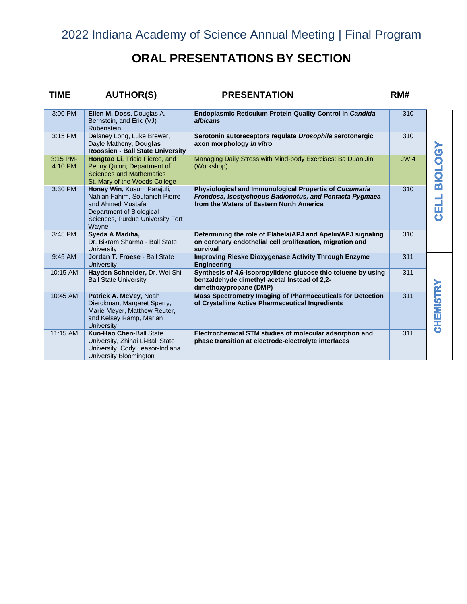# **ORAL PRESENTATIONS BY SECTION**

# **TIME AUTHOR(S) PRESENTATION RM#**

| 3:00 PM             | Ellen M. Doss, Douglas A.<br>Bernstein, and Eric (VJ)<br>Rubenstein                                                                                        | <b>Endoplasmic Reticulum Protein Quality Control in Candida</b><br>albicans                                                                                   | 310 |               |
|---------------------|------------------------------------------------------------------------------------------------------------------------------------------------------------|---------------------------------------------------------------------------------------------------------------------------------------------------------------|-----|---------------|
| 3:15 PM             | Delaney Long, Luke Brewer,<br>Dayle Matheny, Douglas<br>Roossien - Ball State University                                                                   | Serotonin autoreceptors regulate Drosophila serotonergic<br>axon morphology in vitro                                                                          | 310 |               |
| 3:15 PM-<br>4:10 PM | <b>Hongtao Li, Tricia Pierce, and</b><br>Penny Quinn; Department of<br><b>Sciences and Mathematics</b><br>St. Mary of the Woods College                    | Managing Daily Stress with Mind-body Exercises: Ba Duan Jin<br>(Workshop)                                                                                     | JW4 | <b>BIOTOR</b> |
| 3:30 PM             | Honey Win, Kusum Parajuli,<br>Nahian Fahim, Soufanieh Pierre<br>and Ahmed Mustafa<br>Department of Biological<br>Sciences, Purdue University Fort<br>Wayne | Physiological and Immunological Propertis of Cucumaria<br>Frondosa, Isostychopus Badionotus, and Pentacta Pygmaea<br>from the Waters of Eastern North America | 310 | <b>HES</b>    |
| 3:45 PM             | Syeda A Madiha,<br>Dr. Bikram Sharma - Ball State<br>University                                                                                            | Determining the role of Elabela/APJ and Apelin/APJ signaling<br>on coronary endothelial cell proliferation, migration and<br>survival                         | 310 |               |
| 9:45 AM             | Jordan T. Froese - Ball State<br>University                                                                                                                | <b>Improving Rieske Dioxygenase Activity Through Enzyme</b><br>Engineering                                                                                    | 311 |               |
| 10:15 AM            | Hayden Schneider, Dr. Wei Shi,<br><b>Ball State University</b>                                                                                             | Synthesis of 4.6-isopropylidene glucose thio toluene by using<br>benzaldehyde dimethyl acetal Instead of 2,2-<br>dimethoxypropane (DMP)                       | 311 |               |
| 10:45 AM            | Patrick A. McVey, Noah<br>Dierckman, Margaret Sperry,<br>Marie Meyer, Matthew Reuter,<br>and Kelsey Ramp, Marian<br><b>University</b>                      | Mass Spectrometry Imaging of Pharmaceuticals for Detection<br>of Crystalline Active Pharmaceutical Ingredients                                                | 311 | CHEMISTRY     |
| 11:15 AM            | <b>Kuo-Hao Chen-Ball State</b><br>University, Zhihai Li-Ball State<br>University, Cody Leasor-Indiana<br>University Bloomington                            | Electrochemical STM studies of molecular adsorption and<br>phase transition at electrode-electrolyte interfaces                                               | 311 |               |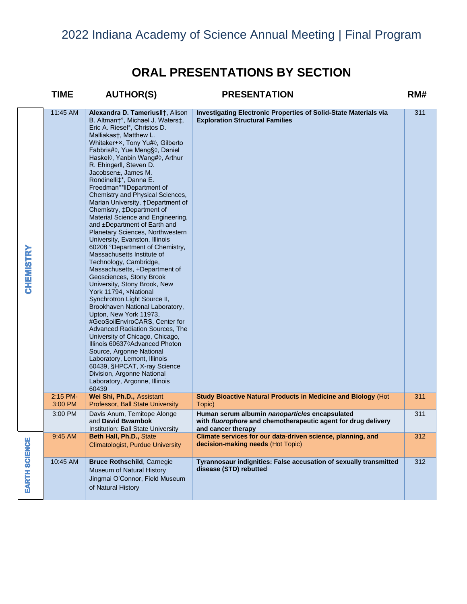|                      | <b>TIME</b>           | <b>AUTHOR(S)</b>                                                                                                                                                                                                                                                                                                                                                                                                                                                                                                                                                                                                                                                                                                                                                                                                                                                                                                                                                                                                                                                                                                                                                                                                                                                                | <b>PRESENTATION</b>                                                                                                                   | RM# |
|----------------------|-----------------------|---------------------------------------------------------------------------------------------------------------------------------------------------------------------------------------------------------------------------------------------------------------------------------------------------------------------------------------------------------------------------------------------------------------------------------------------------------------------------------------------------------------------------------------------------------------------------------------------------------------------------------------------------------------------------------------------------------------------------------------------------------------------------------------------------------------------------------------------------------------------------------------------------------------------------------------------------------------------------------------------------------------------------------------------------------------------------------------------------------------------------------------------------------------------------------------------------------------------------------------------------------------------------------|---------------------------------------------------------------------------------------------------------------------------------------|-----|
| <b>CHEMISTRY</b>     | 11:45 AM              | Alexandra D. Tameriusllt, Alison<br>B. Altman†°, Michael J. Waters‡,<br>Eric A. Riesel°, Christos D.<br>Malliakas†, Matthew L.<br>Whitaker+×, Tony Yu#0, Gilberto<br>Fabbris#0, Yue Meng§0, Daniel<br>Haskel <sup>()</sup> , Yanbin Wang# <sup>()</sup> , Arthur<br>R. Ehingerll, Steven D.<br>Jacobsen±, James M.<br>Rondinelli $\ddagger$ *, Danna E.<br>Freedman <sup>o*</sup> IIDepartment of<br>Chemistry and Physical Sciences,<br>Marian University, †Department of<br>Chemistry, ‡Department of<br>Material Science and Engineering,<br>and ±Department of Earth and<br>Planetary Sciences, Northwestern<br>University, Evanston, Illinois<br>60208 °Department of Chemistry,<br>Massachusetts Institute of<br>Technology, Cambridge,<br>Massachusetts, +Department of<br>Geosciences, Stony Brook<br>University, Stony Brook, New<br>York 11794, xNational<br>Synchrotron Light Source II,<br>Brookhaven National Laboratory,<br>Upton, New York 11973,<br>#GeoSoilEnviroCARS, Center for<br>Advanced Radiation Sources, The<br>University of Chicago, Chicago,<br>Illinois 60637◊ Advanced Photon<br>Source, Argonne National<br>Laboratory, Lemont, Illinois<br>60439, §HPCAT, X-ray Science<br>Division, Argonne National<br>Laboratory, Argonne, Illinois<br>60439 | <b>Investigating Electronic Properties of Solid-State Materials via</b><br><b>Exploration Structural Families</b>                     | 311 |
|                      | $2:15$ PM-<br>3:00 PM | Wei Shi, Ph.D., Assistant<br>Professor, Ball State University                                                                                                                                                                                                                                                                                                                                                                                                                                                                                                                                                                                                                                                                                                                                                                                                                                                                                                                                                                                                                                                                                                                                                                                                                   | Study Bioactive Natural Products in Medicine and Biology (Hot<br>Topic)                                                               | 311 |
|                      | 3:00 PM               | Davis Anum, Temitope Alonge<br>and David Bwambok<br>Institution: Ball State University                                                                                                                                                                                                                                                                                                                                                                                                                                                                                                                                                                                                                                                                                                                                                                                                                                                                                                                                                                                                                                                                                                                                                                                          | Human serum albumin nanoparticles encapsulated<br>with fluorophore and chemotherapeutic agent for drug delivery<br>and cancer therapy | 311 |
|                      | 9:45 AM               | Beth Hall, Ph.D., State<br><b>Climatologist, Purdue University</b>                                                                                                                                                                                                                                                                                                                                                                                                                                                                                                                                                                                                                                                                                                                                                                                                                                                                                                                                                                                                                                                                                                                                                                                                              | Climate services for our data-driven science, planning, and<br>decision-making needs (Hot Topic)                                      | 312 |
| <b>EARTH SCIENCE</b> | 10:45 AM              | <b>Bruce Rothschild, Carnegie</b><br>Museum of Natural History<br>Jingmai O'Connor, Field Museum<br>of Natural History                                                                                                                                                                                                                                                                                                                                                                                                                                                                                                                                                                                                                                                                                                                                                                                                                                                                                                                                                                                                                                                                                                                                                          | Tyrannosaur indignities: False accusation of sexually transmitted<br>disease (STD) rebutted                                           | 312 |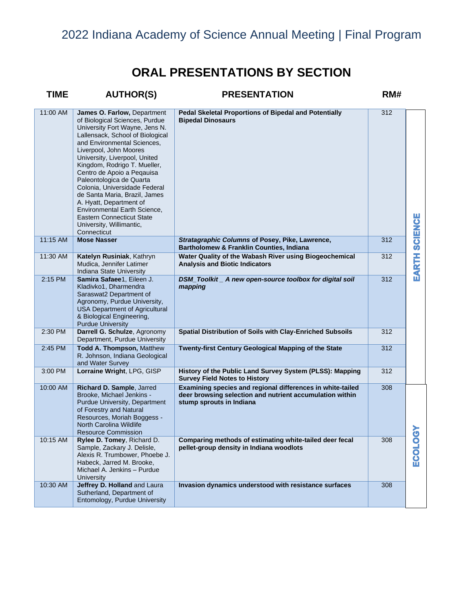| <b>TIME</b> | <b>AUTHOR(S)</b>                                                                                                                                                                                                                                                                                                                                                                                                                                                                                                                           | <b>PRESENTATION</b>                                                                                                                                | RM# |                |
|-------------|--------------------------------------------------------------------------------------------------------------------------------------------------------------------------------------------------------------------------------------------------------------------------------------------------------------------------------------------------------------------------------------------------------------------------------------------------------------------------------------------------------------------------------------------|----------------------------------------------------------------------------------------------------------------------------------------------------|-----|----------------|
| 11:00 AM    | James O. Farlow, Department<br>of Biological Sciences, Purdue<br>University Fort Wayne, Jens N.<br>Lallensack, School of Biological<br>and Environmental Sciences,<br>Liverpool, John Moores<br>University, Liverpool, United<br>Kingdom, Rodrigo T. Mueller,<br>Centro de Apoio a Peqauisa<br>Paleontologica de Quarta<br>Colonia, Universidade Federal<br>de Santa Maria, Brazil, James<br>A. Hyatt, Department of<br><b>Environmental Earth Science,</b><br><b>Eastern Connecticut State</b><br>University, Willimantic,<br>Connecticut | Pedal Skeletal Proportions of Bipedal and Potentially<br><b>Bipedal Dinosaurs</b>                                                                  | 312 | <b>SCIENCE</b> |
| 11:15 AM    | <b>Mose Nasser</b>                                                                                                                                                                                                                                                                                                                                                                                                                                                                                                                         | Stratagraphic Columns of Posey, Pike, Lawrence,<br>Bartholomew & Franklin Counties, Indiana                                                        | 312 |                |
| 11:30 AM    | Katelyn Rusiniak, Kathryn<br>Mudica, Jennifer Latimer<br>Indiana State University                                                                                                                                                                                                                                                                                                                                                                                                                                                          | Water Quality of the Wabash River using Biogeochemical<br><b>Analysis and Biotic Indicators</b>                                                    | 312 | EARTH          |
| 2:15 PM     | Samira Safaee1, Eileen J.<br>Kladivko1, Dharmendra<br>Saraswat2 Department of<br>Agronomy, Purdue University,<br><b>USA Department of Agricultural</b><br>& Biological Engineering,<br><b>Purdue University</b>                                                                                                                                                                                                                                                                                                                            | DSM_Toolkit _ A new open-source toolbox for digital soil<br>mapping                                                                                | 312 |                |
| 2:30 PM     | Darrell G. Schulze, Agronomy<br>Department, Purdue University                                                                                                                                                                                                                                                                                                                                                                                                                                                                              | Spatial Distribution of Soils with Clay-Enriched Subsoils                                                                                          | 312 |                |
| 2:45 PM     | <b>Todd A. Thompson, Matthew</b><br>R. Johnson, Indiana Geological<br>and Water Survey                                                                                                                                                                                                                                                                                                                                                                                                                                                     | <b>Twenty-first Century Geological Mapping of the State</b>                                                                                        | 312 |                |
| 3:00 PM     | Lorraine Wright, LPG, GISP                                                                                                                                                                                                                                                                                                                                                                                                                                                                                                                 | History of the Public Land Survey System (PLSS): Mapping<br><b>Survey Field Notes to History</b>                                                   | 312 |                |
| 10:00 AM    | Richard D. Sample, Jarred<br>Brooke, Michael Jenkins -<br><b>Purdue University, Department</b><br>of Forestry and Natural<br>Resources, Moriah Boggess -<br>North Carolina Wildlife<br>Resource Commission                                                                                                                                                                                                                                                                                                                                 | Examining species and regional differences in white-tailed<br>deer browsing selection and nutrient accumulation within<br>stump sprouts in Indiana | 308 |                |
| 10:15 AM    | Rylee D. Tomey, Richard D.<br>Sample, Zackary J. Delisle,<br>Alexis R. Trumbower, Phoebe J.<br>Habeck, Jarred M. Brooke,<br>Michael A. Jenkins - Purdue<br>University                                                                                                                                                                                                                                                                                                                                                                      | Comparing methods of estimating white-tailed deer fecal<br>pellet-group density in Indiana woodlots                                                | 308 | ECOLOGY        |
| 10:30 AM    | Jeffrey D. Holland and Laura<br>Sutherland, Department of<br>Entomology, Purdue University                                                                                                                                                                                                                                                                                                                                                                                                                                                 | Invasion dynamics understood with resistance surfaces                                                                                              | 308 |                |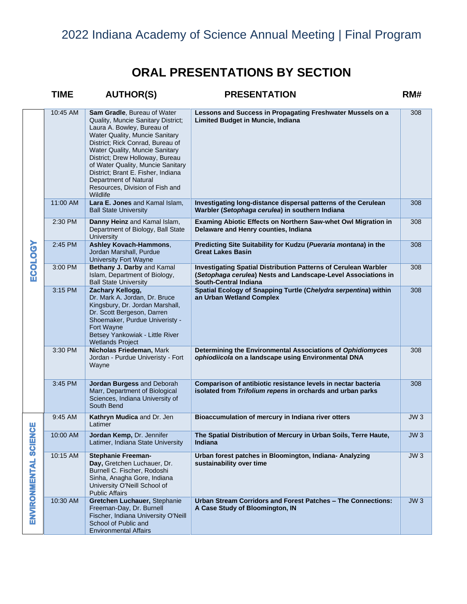|                     | <b>TIME</b> | <b>AUTHOR(S)</b>                                                                                                                                                                                                                                                                                                                                                                              | <b>PRESENTATION</b>                                                                                                                                              | RM# |
|---------------------|-------------|-----------------------------------------------------------------------------------------------------------------------------------------------------------------------------------------------------------------------------------------------------------------------------------------------------------------------------------------------------------------------------------------------|------------------------------------------------------------------------------------------------------------------------------------------------------------------|-----|
|                     | 10:45 AM    | Sam Gradle, Bureau of Water<br>Quality, Muncie Sanitary District;<br>Laura A. Bowley, Bureau of<br>Water Quality, Muncie Sanitary<br>District; Rick Conrad, Bureau of<br>Water Quality, Muncie Sanitary<br>District; Drew Holloway, Bureau<br>of Water Quality, Muncie Sanitary<br>District; Brant E. Fisher, Indiana<br>Department of Natural<br>Resources, Division of Fish and<br>Wildlife | Lessons and Success in Propagating Freshwater Mussels on a<br>Limited Budget in Muncie, Indiana                                                                  | 308 |
|                     | 11:00 AM    | Lara E. Jones and Kamal Islam,<br><b>Ball State University</b>                                                                                                                                                                                                                                                                                                                                | Investigating long-distance dispersal patterns of the Cerulean<br>Warbler (Setophaga cerulea) in southern Indiana                                                | 308 |
|                     | 2:30 PM     | Danny Heinz and Kamal Islam,<br>Department of Biology, Ball State<br>University                                                                                                                                                                                                                                                                                                               | Examing Abiotic Effects on Northern Saw-whet Owl Migration in<br>Delaware and Henry counties, Indiana                                                            | 308 |
| <b>ECOLOGY</b>      | 2:45 PM     | <b>Ashley Kovach-Hammons,</b><br>Jordan Marshall, Purdue<br><b>University Fort Wayne</b>                                                                                                                                                                                                                                                                                                      | Predicting Site Suitability for Kudzu (Pueraria montana) in the<br><b>Great Lakes Basin</b>                                                                      | 308 |
|                     | 3:00 PM     | Bethany J. Darby and Kamal<br>Islam, Department of Biology,<br><b>Ball State University</b>                                                                                                                                                                                                                                                                                                   | <b>Investigating Spatial Distribution Patterns of Cerulean Warbler</b><br>(Setophaga cerulea) Nests and Landscape-Level Associations in<br>South-Central Indiana | 308 |
|                     | 3:15 PM     | Zachary Kellogg,<br>Dr. Mark A. Jordan, Dr. Bruce<br>Kingsbury, Dr. Jordan Marshall,<br>Dr. Scott Bergeson, Darren<br>Shoemaker, Purdue Univeristy -<br>Fort Wayne<br>Betsey Yankowiak - Little River<br><b>Wetlands Project</b>                                                                                                                                                              | Spatial Ecology of Snapping Turtle (Chelydra serpentina) within<br>an Urban Wetland Complex                                                                      | 308 |
|                     | 3:30 PM     | Nicholas Friedeman, Mark<br>Jordan - Purdue Univeristy - Fort<br>Wayne                                                                                                                                                                                                                                                                                                                        | Determining the Environmental Associations of Ophidiomyces<br>ophiodiicola on a landscape using Environmental DNA                                                | 308 |
|                     | 3:45 PM     | Jordan Burgess and Deborah<br>Marr, Department of Biological<br>Sciences, Indiana University of<br>South Bend                                                                                                                                                                                                                                                                                 | Comparison of antibiotic resistance levels in nectar bacteria<br>isolated from Trifolium repens in orchards and urban parks                                      | 308 |
| ပ္ပ                 | 9:45 AM     | Kathryn Mudica and Dr. Jen<br>Latimer                                                                                                                                                                                                                                                                                                                                                         | Bioaccumulation of mercury in Indiana river otters                                                                                                               | JW3 |
|                     | 10:00 AM    | Jordan Kemp, Dr. Jennifer<br>Latimer, Indiana State University                                                                                                                                                                                                                                                                                                                                | The Spatial Distribution of Mercury in Urban Soils, Terre Haute,<br>Indiana                                                                                      | JW3 |
| ENVIRONMENTAL SCIEN | 10:15 AM    | <b>Stephanie Freeman-</b><br>Day, Gretchen Luchauer, Dr.<br>Burnell C. Fischer, Rodoshi<br>Sinha, Anagha Gore, Indiana<br>University O'Neill School of<br><b>Public Affairs</b>                                                                                                                                                                                                               | Urban forest patches in Bloomington, Indiana- Analyzing<br>sustainability over time                                                                              | JW3 |
|                     | 10:30 AM    | Gretchen Luchauer, Stephanie<br>Freeman-Day, Dr. Burnell<br>Fischer, Indiana University O'Neill<br>School of Public and<br><b>Environmental Affairs</b>                                                                                                                                                                                                                                       | Urban Stream Corridors and Forest Patches - The Connections:<br>A Case Study of Bloomington, IN                                                                  | JW3 |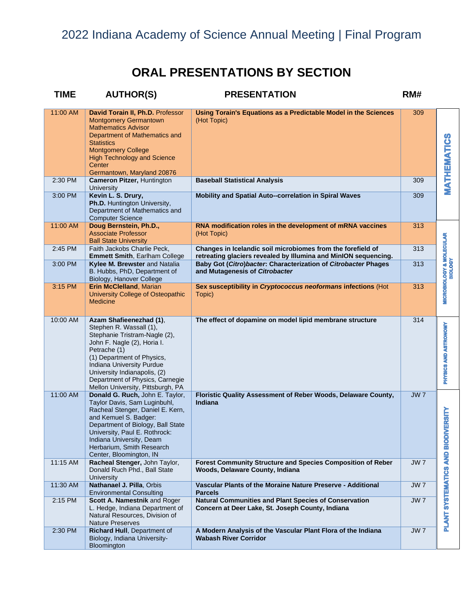| <b>TIME</b> | <b>AUTHOR(S)</b>                                                                                                                                                                                                                                                                                      | <b>PRESENTATION</b>                                                                                                            | RM#             |                                                       |
|-------------|-------------------------------------------------------------------------------------------------------------------------------------------------------------------------------------------------------------------------------------------------------------------------------------------------------|--------------------------------------------------------------------------------------------------------------------------------|-----------------|-------------------------------------------------------|
| 11:00 AM    | David Torain II, Ph.D. Professor<br><b>Montgomery Germantown</b><br><b>Mathematics Advisor</b><br>Department of Mathematics and<br><b>Statistics</b><br><b>Montgomery College</b><br><b>High Technology and Science</b><br>Center<br>Germantown, Maryland 20876                                       | Using Torain's Equations as a Predictable Model in the Sciences<br>(Hot Topic)                                                 | 309             | <b>MATHEMATICS</b>                                    |
| 2:30 PM     | <b>Cameron Pitzer, Huntington</b><br>University                                                                                                                                                                                                                                                       | <b>Baseball Statistical Analysis</b>                                                                                           | 309             |                                                       |
| 3:00 PM     | Kevin L. S. Drury,<br>Ph.D. Huntington University,<br>Department of Mathematics and<br><b>Computer Science</b>                                                                                                                                                                                        | Mobility and Spatial Auto--correlation in Spiral Waves                                                                         | 309             |                                                       |
| 11:00 AM    | Doug Bernstein, Ph.D.,<br><b>Associate Professor</b><br><b>Ball State University</b>                                                                                                                                                                                                                  | RNA modification roles in the development of mRNA vaccines<br>(Hot Topic)                                                      | 313             |                                                       |
| 2:45 PM     | Faith Jackobs Charlie Peck,<br><b>Emmett Smith, Earlham College</b>                                                                                                                                                                                                                                   | Changes in Icelandic soil microbiomes from the forefield of<br>retreating glaciers revealed by Illumina and MinION sequencing. | 313             |                                                       |
| 3:00 PM     | Kylee M. Brewster and Natalia<br>B. Hubbs, PhD, Department of<br>Biology, Hanover College                                                                                                                                                                                                             | Baby Got (Citro) bacter: Characterization of Citrobacter Phages<br>and Mutagenesis of Citrobacter                              | 313             | <b>MICROBIOLOGY &amp; MOLECULAR</b><br><b>BIOLOGY</b> |
| 3:15 PM     | Erin McClelland, Marian<br>University College of Osteopathic<br><b>Medicine</b>                                                                                                                                                                                                                       | Sex susceptibility in Cryptococcus neoformans infections (Hot<br>Topic)                                                        | 313             |                                                       |
| 10:00 AM    | Azam Shafieenezhad (1),<br>Stephen R. Wassall (1),<br>Stephanie Tristram-Nagle (2),<br>John F. Nagle (2), Horia I.<br>Petrache (1)<br>(1) Department of Physics,<br>Indiana University Purdue<br>University Indianapolis, (2)<br>Department of Physics, Carnegie<br>Mellon University, Pittsburgh, PA | The effect of dopamine on model lipid membrane structure                                                                       | 314             | PHYSICS AND ASTRONOMY                                 |
| 11:00 AM    | Donald G. Ruch, John E. Taylor,<br>Taylor Davis, Sam Luginbuhl,<br>Racheal Stenger, Daniel E. Kern,<br>and Kemuel S. Badger:<br>Department of Biology, Ball State<br>University, Paul E. Rothrock:<br>Indiana University, Deam<br>Herbarium, Smith Research<br>Center, Bloomington, IN                | Floristic Quality Assessment of Reber Woods, Delaware County,<br>Indiana                                                       | JW <sub>7</sub> | <b>BIODIVERSITY</b>                                   |
| 11:15 AM    | Racheal Stenger, John Taylor,<br>Donald Ruch Phd., Ball State<br>University                                                                                                                                                                                                                           | Forest Community Structure and Species Composition of Reber<br>Woods, Delaware County, Indiana                                 | JW <sub>7</sub> |                                                       |
| 11:30 AM    | Nathanael J. Pilla, Orbis<br><b>Environmental Consulting</b>                                                                                                                                                                                                                                          | Vascular Plants of the Moraine Nature Preserve - Additional<br><b>Parcels</b>                                                  | JW <sub>7</sub> |                                                       |
| 2:15 PM     | Scott A. Namestnik and Roger<br>L. Hedge, Indiana Department of<br>Natural Resources, Division of<br><b>Nature Preserves</b>                                                                                                                                                                          | Natural Communities and Plant Species of Conservation<br>Concern at Deer Lake, St. Joseph County, Indiana                      | JW <sub>7</sub> | PLANT SYSTEMATICS AND                                 |
| 2:30 PM     | Richard Hull, Department of<br>Biology, Indiana University-<br>Bloomington                                                                                                                                                                                                                            | A Modern Analysis of the Vascular Plant Flora of the Indiana<br><b>Wabash River Corridor</b>                                   | JW <sub>7</sub> |                                                       |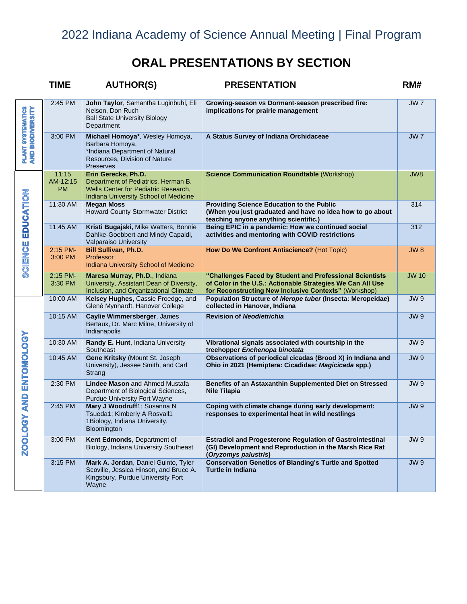|                                               | <b>TIME</b>                    | <b>AUTHOR(S)</b>                                                                                                                            | <b>PRESENTATION</b>                                                                                                                                                             | RM#             |
|-----------------------------------------------|--------------------------------|---------------------------------------------------------------------------------------------------------------------------------------------|---------------------------------------------------------------------------------------------------------------------------------------------------------------------------------|-----------------|
|                                               | 2:45 PM                        | John Taylor, Samantha Luginbuhl, Eli<br>Nelson, Don Ruch<br><b>Ball State University Biology</b><br>Department                              | Growing-season vs Dormant-season prescribed fire:<br>implications for prairie management                                                                                        | <b>JW7</b>      |
| <b>PLANT SYSTEMATICS<br/>AND BIODIVERSITY</b> | 3:00 PM                        | Michael Homoya*, Wesley Homoya,<br>Barbara Homoya,<br>*Indiana Department of Natural<br>Resources, Division of Nature<br><b>Preserves</b>   | A Status Survey of Indiana Orchidaceae                                                                                                                                          | JW <sub>7</sub> |
|                                               | 11:15<br>AM-12:15<br><b>PM</b> | Erin Gerecke, Ph.D.<br>Department of Pediatrics, Herman B.<br>Wells Center for Pediatric Research,<br>Indiana University School of Medicine | <b>Science Communication Roundtable (Workshop)</b>                                                                                                                              | JW8             |
|                                               | 11:30 AM                       | <b>Megan Moss</b><br><b>Howard County Stormwater District</b>                                                                               | <b>Providing Science Education to the Public</b><br>(When you just graduated and have no idea how to go about<br>teaching anyone anything scientific.)                          | 314             |
| SCIENCE EDUCATION                             | 11:45 AM                       | Kristi Bugajski, Mike Watters, Bonnie<br>Dahlke-Goebbert and Mindy Capaldi,<br>Valparaiso University                                        | Being EPIC in a pandemic: How we continued social<br>activities and mentoring with COVID restrictions                                                                           | 312             |
|                                               | 2:15 PM-<br>3:00 PM            | <b>Bill Sullivan, Ph.D.</b><br>Professor<br><b>Indiana University School of Medicine</b>                                                    | How Do We Confront Antiscience? (Hot Topic)                                                                                                                                     | <b>JW8</b>      |
|                                               | 2:15 PM-<br>3:30 PM            | Maresa Murray, Ph.D., Indiana<br>University, Assistant Dean of Diversity,<br>Inclusion, and Organizational Climate                          | "Challenges Faced by Student and Professional Scientists<br>of Color in the U.S.: Actionable Strategies We Can All Use<br>for Reconstructing New Inclusive Contexts" (Workshop) | <b>JW 10</b>    |
|                                               | 10:00 AM                       | Kelsey Hughes, Cassie Froedge, and<br>Glené Mynhardt, Hanover College                                                                       | Population Structure of Merope tuber (Insecta: Meropeidae)<br>collected in Hanover, Indiana                                                                                     | <b>JW9</b>      |
|                                               | 10:15 AM                       | Caylie Wimmersberger, James<br>Bertaux, Dr. Marc Milne, University of<br>Indianapolis                                                       | <b>Revision of Neodietrichia</b>                                                                                                                                                | <b>JW9</b>      |
|                                               | 10:30 AM                       | Randy E. Hunt, Indiana University<br>Southeast                                                                                              | Vibrational signals associated with courtship in the<br>treehopper Enchenopa binotata                                                                                           | <b>JW9</b>      |
| AND ENTOMOLOGY                                | 10:45 AM                       | Gene Kritsky (Mount St. Joseph<br>University), Jessee Smith, and Carl<br>Strang                                                             | Observations of periodical cicadas (Brood X) in Indiana and<br>Ohio in 2021 (Hemiptera: Cicadidae: Magicicada spp.)                                                             | <b>JW9</b>      |
|                                               | 2:30 PM                        | Lindee Mason and Ahmed Mustafa<br>Department of Biological Sciences,<br><b>Purdue University Fort Wayne</b>                                 | Benefits of an Astaxanthin Supplemented Diet on Stressed<br><b>Nile Tilapia</b>                                                                                                 | <b>JW9</b>      |
| <b>ZOOLOGY</b>                                | 2:45 PM                        | Mary J Woodruff1; Susanna N<br>Tsueda1; Kimberly A Rosvall1<br>1Biology, Indiana University,<br>Bloomington                                 | Coping with climate change during early development:<br>responses to experimental heat in wild nestlings                                                                        | <b>JW9</b>      |
|                                               | 3:00 PM                        | Kent Edmonds, Department of<br>Biology, Indiana University Southeast                                                                        | <b>Estradiol and Progesterone Regulation of Gastrointestinal</b><br>(GI) Development and Reproduction in the Marsh Rice Rat<br>(Oryzomys palustris)                             | <b>JW9</b>      |
|                                               | 3:15 PM                        | Mark A. Jordan, Daniel Guinto, Tyler<br>Scoville, Jessica Hinson, and Bruce A.<br>Kingsbury, Purdue University Fort<br>Wayne                | <b>Conservation Genetics of Blanding's Turtle and Spotted</b><br><b>Turtle in Indiana</b>                                                                                       | <b>JW9</b>      |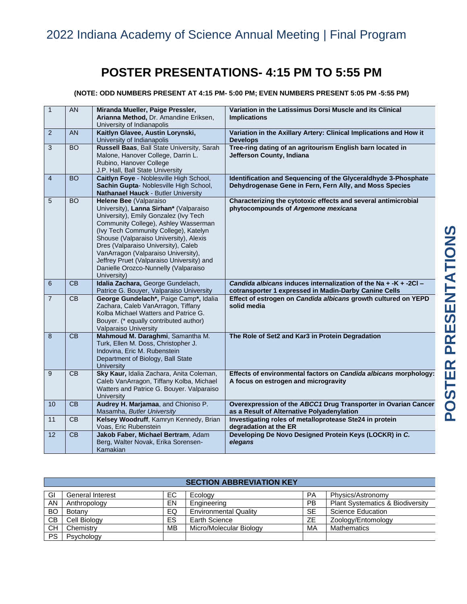# **POSTER PRESENTATIONS- 4:15 PM TO 5:55 PM**

### **(NOTE: ODD NUMBERS PRESENT AT 4:15 PM- 5:00 PM; EVEN NUMBERS PRESENT 5:05 PM -5:55 PM)**

| $\mathbf{1}$    | AN              | Miranda Mueller, Paige Pressler,                              | Variation in the Latissimus Dorsi Muscle and its Clinical            |
|-----------------|-----------------|---------------------------------------------------------------|----------------------------------------------------------------------|
|                 |                 | Arianna Method, Dr. Amandine Eriksen,                         | <b>Implications</b>                                                  |
|                 |                 | University of Indianapolis                                    |                                                                      |
| $\overline{2}$  | <b>AN</b>       | Kaitlyn Glavee, Austin Lorynski,                              | Variation in the Axillary Artery: Clinical Implications and How it   |
|                 |                 | University of Indianapolis                                    | <b>Develops</b>                                                      |
| $\overline{3}$  | <b>BO</b>       | Russell Baas, Ball State University, Sarah                    | Tree-ring dating of an agritourism English barn located in           |
|                 |                 | Malone, Hanover College, Darrin L.                            | Jefferson County, Indiana                                            |
|                 |                 | Rubino, Hanover College                                       |                                                                      |
|                 |                 | J.P. Hall, Ball State University                              |                                                                      |
| $\overline{4}$  | <b>BO</b>       | Caitlyn Foye - Noblesville High School,                       | Identification and Sequencing of the Glyceraldhyde 3-Phosphate       |
|                 |                 | Sachin Gupta- Noblesville High School,                        | Dehydrogenase Gene in Fern, Fern Ally, and Moss Species              |
| 5               | <b>BO</b>       | Nathanael Hauck - Butler University<br>Helene Bee (Valparaiso | Characterizing the cytotoxic effects and several antimicrobial       |
|                 |                 | University), Lanna Sirhan* (Valparaiso                        | phytocompounds of Argemone mexicana                                  |
|                 |                 | University), Emily Gonzalez (Ivy Tech                         |                                                                      |
|                 |                 | Community College), Ashley Wasserman                          |                                                                      |
|                 |                 | (Ivy Tech Community College), Katelyn                         |                                                                      |
|                 |                 | Shouse (Valparaiso University), Alexis                        |                                                                      |
|                 |                 | Dres (Valparaiso University), Caleb                           |                                                                      |
|                 |                 | VanArragon (Valparaiso University),                           |                                                                      |
|                 |                 | Jeffrey Pruet (Valparaiso University) and                     |                                                                      |
|                 |                 | Danielle Orozco-Nunnelly (Valparaiso                          |                                                                      |
|                 |                 | University)                                                   |                                                                      |
| $6\phantom{1}6$ | CB              | Idalia Zachara, George Gundelach,                             | Candida albicans induces internalization of the Na $+$ -K $+$ -2Cl - |
|                 |                 | Patrice G. Bouyer, Valparaiso University                      | cotransporter 1 expressed in Madin-Darby Canine Cells                |
| $\overline{7}$  | $\overline{CB}$ | George Gundelach*, Paige Camp*, Idalia                        | Effect of estrogen on Candida albicans growth cultured on YEPD       |
|                 |                 | Zachara, Caleb VanArragon, Tiffany                            | solid media                                                          |
|                 |                 |                                                               |                                                                      |
|                 |                 | Kolba Michael Watters and Patrice G.                          |                                                                      |
|                 |                 | Bouyer. (* equally contributed author)                        |                                                                      |
|                 |                 | Valparaiso University                                         |                                                                      |
| 8               | CB              | Mahmoud M. Daraghmi, Samantha M.                              | The Role of Set2 and Kar3 in Protein Degradation                     |
|                 |                 | Turk, Ellen M. Doss, Christopher J.                           |                                                                      |
|                 |                 | Indovina, Eric M. Rubenstein                                  |                                                                      |
|                 |                 | Department of Biology, Ball State                             |                                                                      |
|                 |                 | <b>University</b>                                             |                                                                      |
| $\overline{9}$  | CB              | Sky Kaur, Idalia Zachara, Anita Coleman,                      | Effects of environmental factors on Candida albicans morphology:     |
|                 |                 | Caleb VanArragon, Tiffany Kolba, Michael                      | A focus on estrogen and microgravity                                 |
|                 |                 | Watters and Patrice G. Bouyer. Valparaiso<br>University       |                                                                      |
| 10              | CB              | Audrey H. Marjamaa, and Chioniso P.                           | Overexpression of the ABCC1 Drug Transporter in Ovarian Cancer       |
|                 |                 | Masamha, Butler University                                    | as a Result of Alternative Polyadenylation                           |
| 11              | <b>CB</b>       | Kelsey Woodruff, Kamryn Kennedy, Brian                        | Investigating roles of metalloprotease Ste24 in protein              |
|                 |                 | Voas, Eric Rubenstein                                         | degradation at the ER                                                |
| 12              | $\overline{CB}$ | Jakob Faber, Michael Bertram, Adam                            | Developing De Novo Designed Protein Keys (LOCKR) in C.               |
|                 |                 | Berg, Walter Novak, Erika Sorensen-<br>Kamakian               | elegans                                                              |

|           | <b>SECTION ABBREVIATION KEY</b> |           |                              |           |                                             |  |
|-----------|---------------------------------|-----------|------------------------------|-----------|---------------------------------------------|--|
| GI        | <b>General Interest</b>         | EC.       | Ecology                      | <b>PA</b> | Physics/Astronomy                           |  |
| AN        | Anthropology                    | EN        | Engineering                  | <b>PB</b> | <b>Plant Systematics &amp; Biodiversity</b> |  |
| <b>BO</b> | Botany                          | EQ        | <b>Environmental Quality</b> | <b>SE</b> | Science Education                           |  |
| CВ        | Cell Biology                    | ES        | <b>Earth Science</b>         | ZΕ        | Zoology/Entomology                          |  |
| <b>CH</b> | Chemistry                       | <b>MB</b> | Micro/Molecular Biology      | MA        | Mathematics                                 |  |
| <b>PS</b> | Psychology                      |           |                              |           |                                             |  |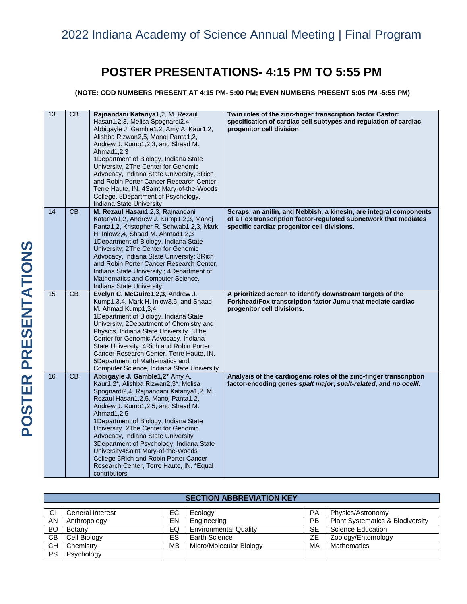# **POSTER PRESENTATIONS- 4:15 PM TO 5:55 PM**

**(NOTE: ODD NUMBERS PRESENT AT 4:15 PM- 5:00 PM; EVEN NUMBERS PRESENT 5:05 PM -5:55 PM)**

| 13 | $\overline{CB}$ | Rajnandani Katariya1,2, M. Rezaul<br>Hasan1,2,3, Melisa Spognardi2,4,<br>Abbigayle J. Gamble1,2, Amy A. Kaur1,2,<br>Alishba Rizwan2,5, Manoj Panta1,2,<br>Andrew J. Kump1,2,3, and Shaad M.<br>Ahmad1,2,3<br>1Department of Biology, Indiana State<br>University, 2The Center for Genomic<br>Advocacy, Indiana State University, 3Rich<br>and Robin Porter Cancer Research Center,<br>Terre Haute, IN. 4Saint Mary-of-the-Woods<br>College, 5Department of Psychology,<br>Indiana State University                          | Twin roles of the zinc-finger transcription factor Castor:<br>specification of cardiac cell subtypes and regulation of cardiac<br>progenitor cell division                            |
|----|-----------------|-----------------------------------------------------------------------------------------------------------------------------------------------------------------------------------------------------------------------------------------------------------------------------------------------------------------------------------------------------------------------------------------------------------------------------------------------------------------------------------------------------------------------------|---------------------------------------------------------------------------------------------------------------------------------------------------------------------------------------|
| 14 | <b>CB</b>       | M. Rezaul Hasan1,2,3, Rajnandani<br>Katariya1,2, Andrew J. Kump1,2,3, Manoj<br>Panta1,2, Kristopher R. Schwab1,2,3, Mark<br>H. Inlow2,4, Shaad M. Ahmad1,2,3<br>1Department of Biology, Indiana State<br>University; 2The Center for Genomic<br>Advocacy, Indiana State University; 3Rich<br>and Robin Porter Cancer Research Center,<br>Indiana State University,; 4Department of<br>Mathematics and Computer Science,<br>Indiana State University.                                                                        | Scraps, an anilin, and Nebbish, a kinesin, are integral components<br>of a Fox transcription factor-regulated subnetwork that mediates<br>specific cardiac progenitor cell divisions. |
| 15 | $\overline{CB}$ | Evelyn C. McGuire1,2,3, Andrew J.<br>Kump1,3,4, Mark H. Inlow3,5, and Shaad<br>M. Ahmad Kump1,3,4<br>1Department of Biology, Indiana State<br>University, 2Department of Chemistry and<br>Physics, Indiana State University. 3The<br>Center for Genomic Advocacy, Indiana<br>State University. 4Rich and Robin Porter<br>Cancer Research Center, Terre Haute, IN.<br>5Department of Mathematics and<br>Computer Science, Indiana State University                                                                           | A prioritized screen to identify downstream targets of the<br>Forkhead/Fox transcription factor Jumu that mediate cardiac<br>progenitor cell divisions.                               |
| 16 | CB              | Abbigayle J. Gamble1,2* Amy A.<br>Kaur1,2*, Alishba Rizwan2,3*, Melisa<br>Spognardi2,4, Rajnandani Katariya1,2, M.<br>Rezaul Hasan1, 2, 5, Manoj Panta1, 2,<br>Andrew J. Kump1,2,5, and Shaad M.<br>Ahmad1,2,5<br>1Department of Biology, Indiana State<br>University, 2The Center for Genomic<br>Advocacy, Indiana State University<br>3Department of Psychology, Indiana State<br>University4Saint Mary-of-the-Woods<br>College 5Rich and Robin Porter Cancer<br>Research Center, Terre Haute, IN. *Equal<br>contributors | Analysis of the cardiogenic roles of the zinc-finger transcription<br>factor-encoding genes spalt major, spalt-related, and no ocelli.                                                |

### **SECTION ABBREVIATION KEY**

| GI        | General Interest | ЕC | Ecology                      | <b>PA</b> | Physics/Astronomy                           |
|-----------|------------------|----|------------------------------|-----------|---------------------------------------------|
| AN        | Anthropology     | EN | Engineering                  | PB        | <b>Plant Systematics &amp; Biodiversity</b> |
| <b>BO</b> | Botany           | EQ | <b>Environmental Quality</b> | <b>SE</b> | Science Education                           |
| <b>CB</b> | Cell Biology     | ES | Earth Science                | ΖE        | Zoology/Entomology                          |
| СH        | Chemistry        | МB | Micro/Molecular Biology      | МA        | <b>Mathematics</b>                          |
| <b>PS</b> | Psychology       |    |                              |           |                                             |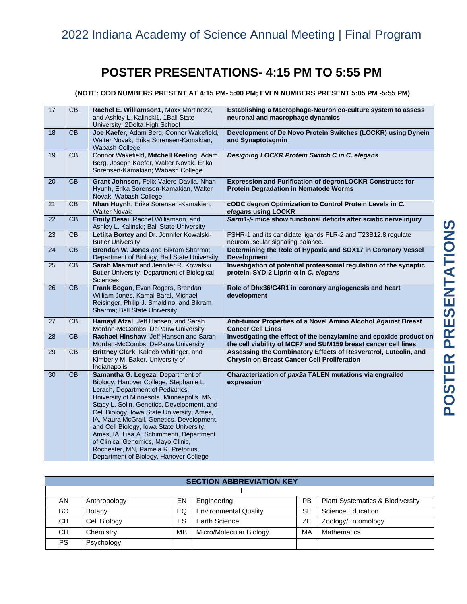# **POSTER PRESENTATIONS- 4:15 PM TO 5:55 PM**

### **(NOTE: ODD NUMBERS PRESENT AT 4:15 PM- 5:00 PM; EVEN NUMBERS PRESENT 5:05 PM -5:55 PM)**

| 17              | $\overline{CB}$ | Rachel E. Williamson1, Maxx Martinez2,<br>and Ashley L. Kalinski1, 1Ball State<br>University; 2Delta High School                                                                                                                                                                                                                                                                                                                                                                                                      | Establishing a Macrophage-Neuron co-culture system to assess<br>neuronal and macrophage dynamics                                     |
|-----------------|-----------------|-----------------------------------------------------------------------------------------------------------------------------------------------------------------------------------------------------------------------------------------------------------------------------------------------------------------------------------------------------------------------------------------------------------------------------------------------------------------------------------------------------------------------|--------------------------------------------------------------------------------------------------------------------------------------|
| 18              | CB              | Joe Kaefer, Adam Berg, Connor Wakefield,<br>Walter Novak, Erika Sorensen-Kamakian,<br>Wabash College                                                                                                                                                                                                                                                                                                                                                                                                                  | Development of De Novo Protein Switches (LOCKR) using Dynein<br>and Synaptotagmin                                                    |
| 19              | CB              | Connor Wakefield, Mitchell Keeling, Adam<br>Berg, Joseph Kaefer, Walter Novak, Erika<br>Sorensen-Kamakian; Wabash College                                                                                                                                                                                                                                                                                                                                                                                             | Designing LOCKR Protein Switch C in C. elegans                                                                                       |
| 20              | CB              | Grant Johnson, Felix Valero-Davila, Nhan<br>Hyunh, Erika Sorensen-Kamakian, Walter<br>Novak; Wabash College                                                                                                                                                                                                                                                                                                                                                                                                           | Expression and Purification of degronLOCKR Constructs for<br><b>Protein Degradation in Nematode Worms</b>                            |
| 21              | CB              | Nhan Huynh, Erika Sorensen-Kamakian,<br><b>Walter Novak</b>                                                                                                                                                                                                                                                                                                                                                                                                                                                           | cODC degron Optimization to Control Protein Levels in C.<br>elegans using LOCKR                                                      |
| 22              | CB              | Emily Desai, Rachel Williamson, and<br>Ashley L. Kalinski; Ball State University                                                                                                                                                                                                                                                                                                                                                                                                                                      | Sarm1-/- mice show functional deficits after sciatic nerve injury                                                                    |
| 23              | CB              | Letiita Bortey and Dr. Jennifer Kowalski-<br><b>Butler University</b>                                                                                                                                                                                                                                                                                                                                                                                                                                                 | FSHR-1 and its candidate ligands FLR-2 and T23B12.8 regulate<br>neuromuscular signaling balance.                                     |
| 24              | $\overline{CB}$ | Brendan W. Jones and Bikram Sharma;<br>Department of Biology, Ball State University                                                                                                                                                                                                                                                                                                                                                                                                                                   | Determining the Role of Hypoxia and SOX17 in Coronary Vessel<br><b>Development</b>                                                   |
| 25              | $\overline{CB}$ | Sarah Maarouf and Jennifer R. Kowalski<br>Butler University, Department of Biological<br>Sciences                                                                                                                                                                                                                                                                                                                                                                                                                     | Investigation of potential proteasomal regulation of the synaptic<br>protein, SYD-2 Liprin-α in C. elegans                           |
| 26              | $\overline{CB}$ | Frank Bogan, Evan Rogers, Brendan<br>William Jones, Kamal Baral, Michael<br>Reisinger, Philip J. Smaldino, and Bikram<br>Sharma; Ball State University                                                                                                                                                                                                                                                                                                                                                                | Role of Dhx36/G4R1 in coronary angiogenesis and heart<br>development                                                                 |
| 27              | <b>CB</b>       | Hamayl Afzal, Jeff Hansen, and Sarah<br>Mordan-McCombs, DePauw University                                                                                                                                                                                                                                                                                                                                                                                                                                             | Anti-tumor Properties of a Novel Amino Alcohol Against Breast<br><b>Cancer Cell Lines</b>                                            |
| 28              | $\overline{CB}$ | Rachael Hinshaw, Jeff Hansen and Sarah<br>Mordan-McCombs, DePauw University                                                                                                                                                                                                                                                                                                                                                                                                                                           | Investigating the effect of the benzylamine and epoxide product on<br>the cell viability of MCF7 and SUM159 breast cancer cell lines |
| 29              | CB              | Brittney Clark, Kaleeb Whitinger, and<br>Kimberly M. Baker, University of<br>Indianapolis                                                                                                                                                                                                                                                                                                                                                                                                                             | Assessing the Combinatory Effects of Resveratrol, Luteolin, and<br><b>Chrysin on Breast Cancer Cell Proliferation</b>                |
| $\overline{30}$ | $\overline{CB}$ | Samantha G. Legeza, Department of<br>Biology, Hanover College, Stephanie L.<br>Lerach, Department of Pediatrics,<br>University of Minnesota, Minneapolis, MN,<br>Stacy L. Solin, Genetics, Development, and<br>Cell Biology, Iowa State University, Ames,<br>IA, Maura McGrail, Genetics, Development,<br>and Cell Biology, Iowa State University,<br>Ames, IA, Lisa A. Schimmenti, Department<br>of Clinical Genomics, Mayo Clinic,<br>Rochester, MN, Pamela R. Pretorius,<br>Department of Biology, Hanover College | Characterization of pax2a TALEN mutations via engrailed<br>expression                                                                |

### **SECTION ABBREVIATION KEY**

| AN        | Anthropology | EN | Engineering                  | <b>PB</b> | <b>Plant Systematics &amp; Biodiversity</b> |
|-----------|--------------|----|------------------------------|-----------|---------------------------------------------|
| <b>BO</b> | Botany       | EQ | <b>Environmental Quality</b> | <b>SE</b> | Science Education                           |
| CB.       | Cell Biology | ES | Earth Science                | ZΕ        | Zoology/Entomology                          |
| CН        | Chemistry    | МB | Micro/Molecular Biology      | MA        | <b>Mathematics</b>                          |
| PS.       | Psychology   |    |                              |           |                                             |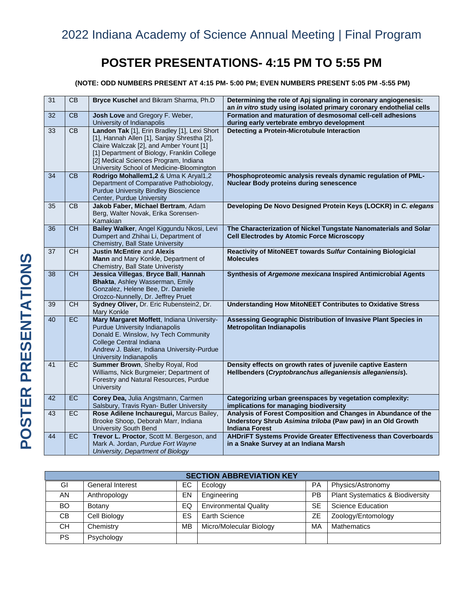# **POSTER PRESENTATIONS- 4:15 PM TO 5:55 PM**

**(NOTE: ODD NUMBERS PRESENT AT 4:15 PM- 5:00 PM; EVEN NUMBERS PRESENT 5:05 PM -5:55 PM)**

| 31              | CB              | Bryce Kuschel and Bikram Sharma, Ph.D                                                                                                                                                                                                                                       | Determining the role of Apj signaling in coronary angiogenesis:<br>an in vitro study using isolated primary coronary endothelial cells                 |
|-----------------|-----------------|-----------------------------------------------------------------------------------------------------------------------------------------------------------------------------------------------------------------------------------------------------------------------------|--------------------------------------------------------------------------------------------------------------------------------------------------------|
| 32              | CB              | Josh Love and Gregory F. Weber,<br>University of Indianapolis                                                                                                                                                                                                               | Formation and maturation of desmosomal cell-cell adhesions<br>during early vertebrate embryo development                                               |
| 33              | CB              | Landon Tak [1], Erin Bradley [1], Lexi Short<br>[1], Hannah Allen [1], Sanjay Shrestha [2],<br>Claire Walczak [2], and Amber Yount [1]<br>[1] Department of Biology, Franklin College<br>[2] Medical Sciences Program, Indiana<br>University School of Medicine-Bloomington | Detecting a Protein-Microtubule Interaction                                                                                                            |
| 34              | CB              | Rodrigo Mohallem1,2 & Uma K Aryal1,2<br>Department of Comparative Pathobiology,<br><b>Purdue University Bindley Bioscience</b><br>Center, Purdue University                                                                                                                 | Phosphoproteomic analysis reveals dynamic regulation of PML-<br><b>Nuclear Body proteins during senescence</b>                                         |
| 35              | $\overline{CB}$ | Jakob Faber, Michael Bertram, Adam<br>Berg, Walter Novak, Erika Sorensen-<br>Kamakian                                                                                                                                                                                       | Developing De Novo Designed Protein Keys (LOCKR) in C. elegans                                                                                         |
| 36              | <b>CH</b>       | Bailey Walker, Angel Kiggundu Nkosi, Levi<br>Dumpert and Zhihai Li, Department of<br>Chemistry, Ball State University                                                                                                                                                       | The Characterization of Nickel Tungstate Nanomaterials and Solar<br><b>Cell Electrodes by Atomic Force Microscopy</b>                                  |
| $\overline{37}$ | CH              | <b>Justin McEntire and Alexis</b><br>Mann and Mary Konkle, Department of<br>Chemistry, Ball State Univeristy                                                                                                                                                                | <b>Reactivity of MitoNEET towards Sulfur Containing Biologicial</b><br><b>Molecules</b>                                                                |
| 38              | <b>CH</b>       | Jessica Villegas, Bryce Ball, Hannah<br>Bhakta, Ashley Wasserman, Emily<br>Gonzalez, Helene Bee, Dr. Danielle<br>Orozco-Nunnelly, Dr. Jeffrey Pruet                                                                                                                         | Synthesis of Argemone mexicana Inspired Antimicrobial Agents                                                                                           |
| 39              | <b>CH</b>       | Sydney Oliver, Dr. Eric Rubenstein2, Dr.<br>Mary Konkle                                                                                                                                                                                                                     | <b>Understanding How MitoNEET Contributes to Oxidative Stress</b>                                                                                      |
| 40              | <b>EC</b>       | Mary Margaret Moffett, Indiana University-<br>Purdue University Indianapolis<br>Donald E. Winslow, Ivy Tech Community<br>College Central Indiana<br>Andrew J. Baker, Indiana University-Purdue<br>University Indianapolis                                                   | Assessing Geographic Distribution of Invasive Plant Species in<br><b>Metropolitan Indianapolis</b>                                                     |
| 41              | <b>EC</b>       | Summer Brown, Shelby Royal, Rod<br>Williams, Nick Burgmeier; Department of<br>Forestry and Natural Resources, Purdue<br>University                                                                                                                                          | Density effects on growth rates of juvenile captive Eastern<br>Hellbenders (Cryptobranchus alleganiensis alleganiensis).                               |
| 42              | EC              | Corey Dea, Julia Angstmann, Carmen<br>Salsbury, Travis Ryan- Butler University                                                                                                                                                                                              | Categorizing urban greenspaces by vegetation complexity:<br>implications for managing biodiversity                                                     |
| 43              | EC              | Rose Adilene Inchauregui, Marcus Bailey,<br>Brooke Shoop, Deborah Marr, Indiana<br>University South Bend                                                                                                                                                                    | Analysis of Forest Composition and Changes in Abundance of the<br>Understory Shrub Asimina triloba (Paw paw) in an Old Growth<br><b>Indiana Forest</b> |
| 44              | <b>EC</b>       | Trevor L. Proctor, Scott M. Bergeson, and<br>Mark A. Jordan, Purdue Fort Wayne<br>University, Department of Biology                                                                                                                                                         | AHDriFT Systems Provide Greater Effectiveness than Coverboards<br>in a Snake Survey at an Indiana Marsh                                                |

| <b>SECTION ABBREVIATION KEY</b> |                         |    |                              |           |                                             |
|---------------------------------|-------------------------|----|------------------------------|-----------|---------------------------------------------|
| GI                              | <b>General Interest</b> | ЕC | Ecology                      | PA        | Physics/Astronomy                           |
| AN                              | Anthropology            | EN | Engineering                  | PB        | <b>Plant Systematics &amp; Biodiversity</b> |
| <b>BO</b>                       | Botany                  | EQ | <b>Environmental Quality</b> | <b>SE</b> | Science Education                           |
| CВ                              | Cell Biology            | ES | Earth Science                | ΖE        | Zoology/Entomology                          |
| CН                              | Chemistry               | МB | Micro/Molecular Biology      | MA        | <b>Mathematics</b>                          |
| PS                              | Psychology              |    |                              |           |                                             |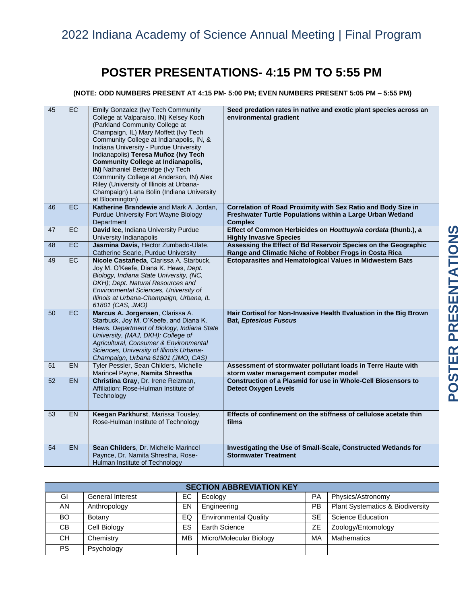# **POSTER PRESENTATIONS- 4:15 PM TO 5:55 PM**

### **(NOTE: ODD NUMBERS PRESENT AT 4:15 PM- 5:00 PM; EVEN NUMBERS PRESENT 5:05 PM – 5:55 PM)**

| 45 | EC        | Emily Gonzalez (Ivy Tech Community<br>College at Valparaiso, IN) Kelsey Koch<br>(Parkland Community College at<br>Champaign, IL) Mary Moffett (Ivy Tech<br>Community College at Indianapolis, IN, &<br>Indiana University - Purdue University<br>Indianapolis) Teresa Muñoz (Ivy Tech<br><b>Community College at Indianapolis,</b><br>IN) Nathaniel Betteridge (Ivy Tech<br>Community College at Anderson, IN) Alex<br>Riley (University of Illinois at Urbana-<br>Champaign) Lana Bolin (Indiana University<br>at Bloomington) | Seed predation rates in native and exotic plant species across an<br>environmental gradient                                                   |
|----|-----------|---------------------------------------------------------------------------------------------------------------------------------------------------------------------------------------------------------------------------------------------------------------------------------------------------------------------------------------------------------------------------------------------------------------------------------------------------------------------------------------------------------------------------------|-----------------------------------------------------------------------------------------------------------------------------------------------|
| 46 | EC        | Katherine Brandewie and Mark A. Jordan,<br>Purdue University Fort Wayne Biology<br>Department                                                                                                                                                                                                                                                                                                                                                                                                                                   | Correlation of Road Proximity with Sex Ratio and Body Size in<br>Freshwater Turtle Populations within a Large Urban Wetland<br><b>Complex</b> |
| 47 | $E$ C     | David Ice, Indiana University Purdue<br>University Indianapolis                                                                                                                                                                                                                                                                                                                                                                                                                                                                 | Effect of Common Herbicides on Houttuynia cordata (thunb.), a<br><b>Highly Invasive Species</b>                                               |
| 48 | EC        | Jasmina Davis, Hector Zumbado-Ulate,<br>Catherine Searle, Purdue University                                                                                                                                                                                                                                                                                                                                                                                                                                                     | Assessing the Effect of Bd Reservoir Species on the Geographic<br>Range and Climatic Niche of Robber Frogs in Costa Rica                      |
| 49 | <b>EC</b> | Nicole Castañeda, Clarissa A. Starbuck,<br>Joy M. O'Keefe, Diana K. Hews, Dept.<br>Biology, Indiana State University, (NC,<br>DKH); Dept. Natural Resources and<br>Environmental Sciences, University of<br>Illinois at Urbana-Champaign, Urbana, IL<br>61801 (CAS, JMO)                                                                                                                                                                                                                                                        | Ectoparasites and Hematological Values in Midwestern Bats                                                                                     |
| 50 | EC        | Marcus A. Jorgensen, Clarissa A.<br>Starbuck, Joy M. O'Keefe, and Diana K.<br>Hews. Department of Biology, Indiana State<br>University, (MAJ, DKH); College of<br>Agricultural, Consumer & Environmental<br>Sciences, University of Illinois Urbana-<br>Champaign, Urbana 61801 (JMO, CAS)                                                                                                                                                                                                                                      | Hair Cortisol for Non-Invasive Health Evaluation in the Big Brown<br><b>Bat, Eptesicus Fuscus</b>                                             |
| 51 | <b>EN</b> | Tyler Pessler, Sean Childers, Michelle<br>Marincel Payne, Namita Shrestha                                                                                                                                                                                                                                                                                                                                                                                                                                                       | Assessment of stormwater pollutant loads in Terre Haute with<br>storm water management computer model                                         |
| 52 | EN        | Christina Gray, Dr. Irene Reizman,<br>Affiliation: Rose-Hulman Institute of<br>Technology                                                                                                                                                                                                                                                                                                                                                                                                                                       | Construction of a Plasmid for use in Whole-Cell Biosensors to<br><b>Detect Oxygen Levels</b>                                                  |
| 53 | <b>EN</b> | Keegan Parkhurst, Marissa Tousley,<br>Rose-Hulman Institute of Technology                                                                                                                                                                                                                                                                                                                                                                                                                                                       | Effects of confinement on the stiffness of cellulose acetate thin<br>films                                                                    |
| 54 | <b>EN</b> | Sean Childers, Dr. Michelle Marincel<br>Paynce, Dr. Namita Shrestha, Rose-<br>Hulman Institute of Technology                                                                                                                                                                                                                                                                                                                                                                                                                    | Investigating the Use of Small-Scale, Constructed Wetlands for<br><b>Stormwater Treatment</b>                                                 |

| <b>SECTION ABBREVIATION KEY</b> |                         |    |                              |           |                                  |  |  |  |
|---------------------------------|-------------------------|----|------------------------------|-----------|----------------------------------|--|--|--|
| GI                              | <b>General Interest</b> | EC | Ecology                      | <b>PA</b> | Physics/Astronomy                |  |  |  |
| AN.                             | Anthropology            | EN | Engineering                  | PB        | Plant Systematics & Biodiversity |  |  |  |
| BO.                             | Botany                  | EQ | <b>Environmental Quality</b> | <b>SE</b> | Science Education                |  |  |  |
| CB.                             | Cell Biology            | ES | Earth Science                | ZE        | Zoology/Entomology               |  |  |  |
| <b>CH</b>                       | Chemistry               | MB | Micro/Molecular Biology      | МA        | <b>Mathematics</b>               |  |  |  |
| <b>PS</b>                       | Psychology              |    |                              |           |                                  |  |  |  |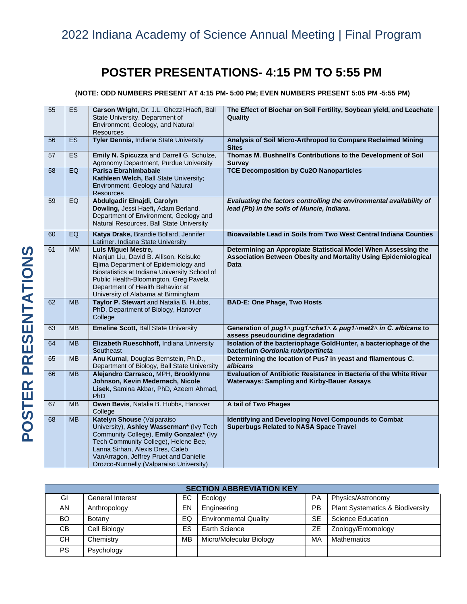# **POSTER PRESENTATIONS- 4:15 PM TO 5:55 PM**

**(NOTE: ODD NUMBERS PRESENT AT 4:15 PM- 5:00 PM; EVEN NUMBERS PRESENT 5:05 PM -5:55 PM)**

| 55 | ES        | Carson Wright, Dr. J.L. Ghezzi-Haeft, Ball<br>State University, Department of                                                                                                                                                                                                       | The Effect of Biochar on Soil Fertility, Soybean yield, and Leachate<br>Quality                                                                  |
|----|-----------|-------------------------------------------------------------------------------------------------------------------------------------------------------------------------------------------------------------------------------------------------------------------------------------|--------------------------------------------------------------------------------------------------------------------------------------------------|
|    |           | Environment, Geology, and Natural<br><b>Resources</b>                                                                                                                                                                                                                               |                                                                                                                                                  |
| 56 | <b>ES</b> | Tyler Dennis, Indiana State University                                                                                                                                                                                                                                              | Analysis of Soil Micro-Arthropod to Compare Reclaimed Mining<br><b>Sites</b>                                                                     |
| 57 | <b>ES</b> | Emily N. Spicuzza and Darrell G. Schulze,<br>Agronomy Department, Purdue University                                                                                                                                                                                                 | Thomas M. Bushnell's Contributions to the Development of Soil<br><b>Survey</b>                                                                   |
| 58 | EQ        | Parisa Ebrahimbabaie<br>Kathleen Welch, Ball State University;<br>Environment, Geology and Natural<br><b>Resources</b>                                                                                                                                                              | <b>TCE Decomposition by Cu2O Nanoparticles</b>                                                                                                   |
| 59 | EQ        | Abdulgadir Elnajdi, Carolyn<br>Dowling, Jessi Haeft, Adam Berland.<br>Department of Environment, Geology and<br>Natural Resources, Ball State University                                                                                                                            | Evaluating the factors controlling the environmental availability of<br>lead (Pb) in the soils of Muncie, Indiana.                               |
| 60 | EQ        | Katya Drake, Brandie Bollard, Jennifer<br>Latimer. Indiana State University                                                                                                                                                                                                         | Bioavailable Lead in Soils from Two West Central Indiana Counties                                                                                |
| 61 | <b>MM</b> | <b>Luis Miguel Mestre,</b><br>Nianjun Liu, David B. Allison, Keisuke<br>Ejima Department of Epidemiology and<br>Biostatistics at Indiana University School of<br>Public Health-Bloomington, Greg Pavela<br>Department of Health Behavior at<br>University of Alabama at Birmingham  | Determining an Appropiate Statistical Model When Assessing the<br>Association Between Obesity and Mortality Using Epidemiological<br><b>Data</b> |
| 62 | <b>MB</b> | Taylor P. Stewart and Natalia B. Hubbs,<br>PhD, Department of Biology, Hanover<br>College                                                                                                                                                                                           | <b>BAD-E: One Phage, Two Hosts</b>                                                                                                               |
| 63 | <b>MB</b> | <b>Emeline Scott, Ball State University</b>                                                                                                                                                                                                                                         | Generation of pug1∆ pug1∆cha1∆ & pug1∆met2∆ in C. albicans to<br>assess pseudouridine degradation                                                |
| 64 | <b>MB</b> | Elizabeth Rueschhoff, Indiana University<br>Southeast                                                                                                                                                                                                                               | Isolation of the bacteriophage GoldHunter, a bacteriophage of the<br>bacterium Gordonia rubripertincta                                           |
| 65 | <b>MB</b> | Anu Kumal, Douglas Bernstein, Ph.D.,<br>Department of Biology, Ball State University                                                                                                                                                                                                | Determining the location of Pus7 in yeast and filamentous C.<br>albicans                                                                         |
| 66 | <b>MB</b> | Alejandro Carrasco, MPH, Brooklynne<br>Johnson, Kevin Medernach, Nicole<br>Lisek, Samina Akbar, PhD, Azeem Ahmad,<br>PhD                                                                                                                                                            | Evaluation of Antibiotic Resistance in Bacteria of the White River<br><b>Waterways: Sampling and Kirby-Bauer Assays</b>                          |
| 67 | <b>MB</b> | Owen Bevis, Natalia B. Hubbs, Hanover<br>College                                                                                                                                                                                                                                    | A tail of Two Phages                                                                                                                             |
| 68 | <b>MB</b> | Katelyn Shouse (Valparaiso<br>University), Ashley Wasserman* (Ivy Tech<br>Community College), Emily Gonzalez* (Ivy<br>Tech Community College), Helene Bee,<br>Lanna Sirhan, Alexis Dres, Caleb<br>VanArragon, Jeffrey Pruet and Danielle<br>Orozco-Nunnelly (Valparaiso University) | <b>Identifying and Developing Novel Compounds to Combat</b><br><b>Superbugs Related to NASA Space Travel</b>                                     |

| <b>SECTION ABBREVIATION KEY</b> |                         |     |                              |           |                                             |  |  |  |  |
|---------------------------------|-------------------------|-----|------------------------------|-----------|---------------------------------------------|--|--|--|--|
| GI                              | <b>General Interest</b> | EC. | Ecology                      | PA        | Physics/Astronomy                           |  |  |  |  |
| AN                              | Anthropology            | EN  | Engineering                  | PB        | <b>Plant Systematics &amp; Biodiversity</b> |  |  |  |  |
| BO.                             | Botany                  | EQ  | <b>Environmental Quality</b> | <b>SE</b> | Science Education                           |  |  |  |  |
| CВ                              | Cell Biology            | ES  | Earth Science                | ΖE        | Zoology/Entomology                          |  |  |  |  |
| CН                              | Chemistry               | MB  | Micro/Molecular Biology      | MA        | <b>Mathematics</b>                          |  |  |  |  |
| <b>PS</b>                       | Psychology              |     |                              |           |                                             |  |  |  |  |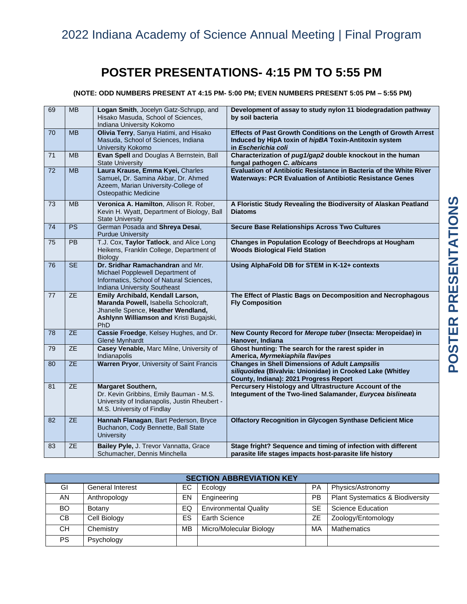# **POSTER PRESENTATIONS- 4:15 PM TO 5:55 PM**

### **(NOTE: ODD NUMBERS PRESENT AT 4:15 PM- 5:00 PM; EVEN NUMBERS PRESENT 5:05 PM – 5:55 PM)**

| 69 | <b>MB</b>       | Logan Smith, Jocelyn Gatz-Schrupp, and<br>Hisako Masuda, School of Sciences,<br>Indiana University Kokomo                                                         | Development of assay to study nylon 11 biodegradation pathway<br>by soil bacteria                                                                             |
|----|-----------------|-------------------------------------------------------------------------------------------------------------------------------------------------------------------|---------------------------------------------------------------------------------------------------------------------------------------------------------------|
| 70 | <b>MB</b>       | Olivia Terry, Sanya Hatimi, and Hisako<br>Masuda, School of Sciences, Indiana<br>University Kokomo                                                                | Effects of Past Growth Conditions on the Length of Growth Arrest<br>Induced by HipA toxin of hipBA Toxin-Antitoxin system<br>in Escherichia coli              |
| 71 | <b>MB</b>       | Evan Spell and Douglas A Bernstein, Ball<br><b>State University</b>                                                                                               | Characterization of pug1/gap2 double knockout in the human<br>fungal pathogen C. albicans                                                                     |
| 72 | <b>MB</b>       | Laura Krause, Emma Kyei, Charles<br>Samuel, Dr. Samina Akbar, Dr. Ahmed<br>Azeem, Marian University-College of<br><b>Osteopathic Medicine</b>                     | Evaluation of Antibiotic Resistance in Bacteria of the White River<br><b>Waterways: PCR Evaluation of Antibiotic Resistance Genes</b>                         |
| 73 | <b>MB</b>       | Veronica A. Hamilton, Allison R. Rober,<br>Kevin H. Wyatt, Department of Biology, Ball<br><b>State University</b>                                                 | A Floristic Study Revealing the Biodiversity of Alaskan Peatland<br><b>Diatoms</b>                                                                            |
| 74 | PS              | German Posada and Shreya Desai,<br><b>Purdue University</b>                                                                                                       | <b>Secure Base Relationships Across Two Cultures</b>                                                                                                          |
| 75 | <b>PB</b>       | T.J. Cox, Taylor Tatlock, and Alice Long<br>Heikens, Franklin College, Department of<br><b>Biology</b>                                                            | Changes in Population Ecology of Beechdrops at Hougham<br><b>Woods Biological Field Station</b>                                                               |
| 76 | <b>SE</b>       | Dr. Sridhar Ramachandran and Mr.<br>Michael Popplewell Department of<br>Informatics, School of Natural Sciences,<br>Indiana University Southeast                  | Using AlphaFold DB for STEM in K-12+ contexts                                                                                                                 |
| 77 | <b>ZE</b>       | Emily Archibald, Kendall Larson,<br>Maranda Powell, Isabella Schoolcraft,<br>Jhanelle Spence, Heather Wendland,<br>Ashlynn Williamson and Kristi Bugajski,<br>PhD | The Effect of Plastic Bags on Decomposition and Necrophagous<br><b>Fly Composition</b>                                                                        |
| 78 | $\overline{ZE}$ | Cassie Froedge, Kelsey Hughes, and Dr.<br>Glené Mynhardt                                                                                                          | New County Record for Merope tuber (Insecta: Meropeidae) in<br>Hanover, Indiana                                                                               |
| 79 | ZE              | Casey Venable, Marc Milne, University of<br>Indianapolis                                                                                                          | Ghost hunting: The search for the rarest spider in<br>America, Myrmekiaphila flavipes                                                                         |
| 80 | <b>ZE</b>       | <b>Warren Pryor, University of Saint Francis</b>                                                                                                                  | <b>Changes in Shell Dimensions of Adult Lampsilis</b><br>siliquoidea (Bivalvia: Unionidae) in Crooked Lake (Whitley<br>County, Indiana): 2021 Progress Report |
| 81 | <b>ZE</b>       | Margaret Southern,<br>Dr. Kevin Gribbins, Emily Bauman - M.S.<br>University of Indianapolis, Justin Rheubert -<br>M.S. University of Findlay                      | Percursery Histology and Ultrastructure Account of the<br>Integument of the Two-lined Salamander, Eurycea bislineata                                          |
| 82 | <b>ZE</b>       | Hannah Flanagan, Bart Pederson, Bryce<br>Buchanon, Cody Bennette, Ball State<br><b>University</b>                                                                 | <b>Olfactory Recognition in Glycogen Synthase Deficient Mice</b>                                                                                              |
| 83 | <b>ZE</b>       | Bailey Pyle, J. Trevor Vannatta, Grace<br>Schumacher, Dennis Minchella                                                                                            | Stage fright? Sequence and timing of infection with different<br>parasite life stages impacts host-parasite life history                                      |

| <b>SECTION ABBREVIATION KEY</b> |                         |           |                              |           |                                  |  |  |  |
|---------------------------------|-------------------------|-----------|------------------------------|-----------|----------------------------------|--|--|--|
| GI                              | <b>General Interest</b> | ЕC        | Ecology                      | <b>PA</b> | Physics/Astronomy                |  |  |  |
| AN                              | Anthropology            | EN        | Engineering                  | PB        | Plant Systematics & Biodiversity |  |  |  |
| BO.                             | Botany                  | EQ        | <b>Environmental Quality</b> | <b>SE</b> | Science Education                |  |  |  |
| CB.                             | Cell Biology            | ES        | Earth Science                | ZΕ        | Zoology/Entomology               |  |  |  |
| CН                              | Chemistry               | <b>MB</b> | Micro/Molecular Biology      | MA        | <b>Mathematics</b>               |  |  |  |
| <b>PS</b>                       | Psychology              |           |                              |           |                                  |  |  |  |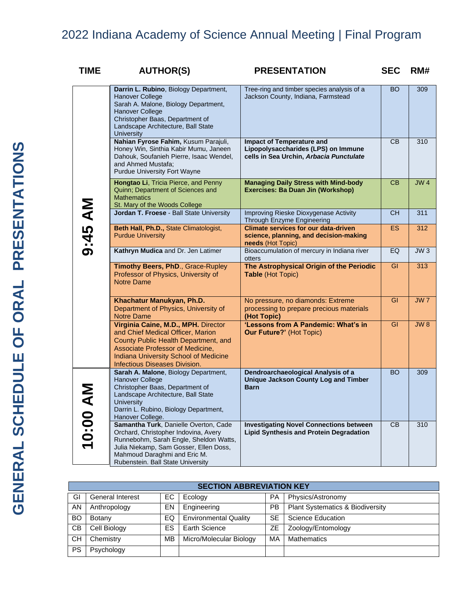| <b>TIME</b> | <b>AUTHOR(S)</b>                                                                                                                                                                                                                       | <b>PRESENTATION</b>                                                                                                | <b>SEC</b>     | RM# |
|-------------|----------------------------------------------------------------------------------------------------------------------------------------------------------------------------------------------------------------------------------------|--------------------------------------------------------------------------------------------------------------------|----------------|-----|
|             | Darrin L. Rubino, Biology Department,<br><b>Hanover College</b><br>Sarah A. Malone, Biology Department,<br><b>Hanover College</b><br>Christopher Baas, Department of<br>Landscape Architecture, Ball State<br><b>University</b>        | Tree-ring and timber species analysis of a<br>Jackson County, Indiana, Farmstead                                   | BO             | 309 |
|             | Nahian Fyrose Fahim, Kusum Parajuli,<br>Honey Win, Sinthia Kabir Mumu, Janeen<br>Dahouk, Soufanieh Pierre, Isaac Wendel,<br>and Ahmed Mustafa;<br><b>Purdue University Fort Wayne</b>                                                  | <b>Impact of Temperature and</b><br>Lipopolysaccharides (LPS) on Immune<br>cells in Sea Urchin, Arbacia Punctulate | CB             | 310 |
|             | Hongtao Li, Tricia Pierce, and Penny<br>Quinn; Department of Sciences and<br><b>Mathematics</b><br>St. Mary of the Woods College                                                                                                       | <b>Managing Daily Stress with Mind-body</b><br>Exercises: Ba Duan Jin (Workshop)                                   | C <sub>B</sub> | JW4 |
|             | Jordan T. Froese - Ball State University                                                                                                                                                                                               | Improving Rieske Dioxygenase Activity<br>Through Enzyme Engineering                                                | <b>CH</b>      | 311 |
| 9:45 AM     | Beth Hall, Ph.D., State Climatologist,<br><b>Purdue University</b>                                                                                                                                                                     | <b>Climate services for our data-driven</b><br>science, planning, and decision-making<br>needs (Hot Topic)         | <b>ES</b>      | 312 |
|             | Kathryn Mudica and Dr. Jen Latimer                                                                                                                                                                                                     | Bioaccumulation of mercury in Indiana river<br>otters                                                              | EQ             | JW3 |
|             | Timothy Beers, PhD., Grace-Rupley<br>Professor of Physics, University of<br><b>Notre Dame</b>                                                                                                                                          | The Astrophysical Origin of the Periodic<br>Table (Hot Topic)                                                      | GI             | 313 |
|             | Khachatur Manukyan, Ph.D.<br>Department of Physics, University of<br><b>Notre Dame</b>                                                                                                                                                 | No pressure, no diamonds: Extreme<br>processing to prepare precious materials<br>(Hot Topic)                       | GI             | JW7 |
|             | Virginia Caine, M.D., MPH. Director<br>and Chief Medical Officer, Marion<br>County Public Health Department, and<br>Associate Professor of Medicine,<br>Indiana University School of Medicine<br>Infectious Diseases Division.         | 'Lessons from A Pandemic: What's in<br><b>Our Future?' (Hot Topic)</b>                                             | GI             | JW8 |
|             | Sarah A. Malone, Biology Department,<br><b>Hanover College</b><br>Christopher Baas, Department of<br>Landscape Architecture, Ball State<br><b>University</b><br>Darrin L. Rubino, Biology Department,<br>Hanover College.              | Dendroarchaeological Analysis of a<br><b>Unique Jackson County Log and Timber</b><br><b>Barn</b>                   | <b>BO</b>      | 309 |
| 10:00       | Samantha Turk, Danielle Overton, Cade<br>Orchard, Christopher Indovina, Avery<br>Runnebohm, Sarah Engle, Sheldon Watts,<br>Julia Niekamp, Sam Gosser, Ellen Doss,<br>Mahmoud Daraghmi and Eric M.<br>Rubenstein. Ball State University | <b>Investigating Novel Connections between</b><br><b>Lipid Synthesis and Protein Degradation</b>                   | CB             | 310 |

|           | <b>SECTION ABBREVIATION KEY</b> |     |                              |           |                                             |  |  |  |
|-----------|---------------------------------|-----|------------------------------|-----------|---------------------------------------------|--|--|--|
| GI        | <b>General Interest</b>         | EC. | Ecology                      | <b>PA</b> | Physics/Astronomy                           |  |  |  |
| AN        | Anthropology                    | EN  | Engineering                  | <b>PB</b> | <b>Plant Systematics &amp; Biodiversity</b> |  |  |  |
| <b>BO</b> | Botany                          | EQ  | <b>Environmental Quality</b> | <b>SE</b> | Science Education                           |  |  |  |
| СB        | Cell Biology                    | ES  | <b>Earth Science</b>         | ZΕ        | Zoology/Entomology                          |  |  |  |
| CН        | Chemistry                       | MВ  | Micro/Molecular Biology      | MA        | <b>Mathematics</b>                          |  |  |  |
| <b>PS</b> | Psychology                      |     |                              |           |                                             |  |  |  |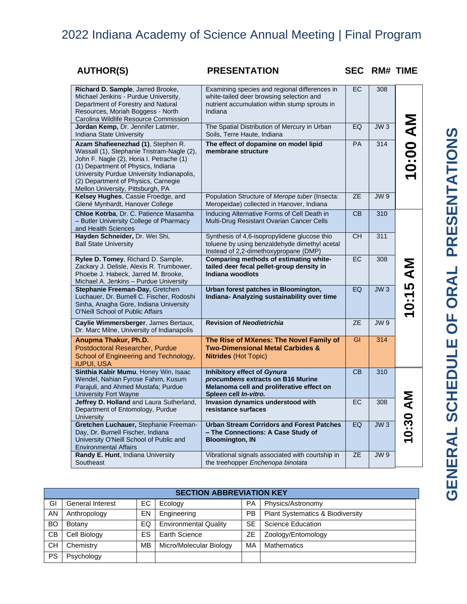| <b>AUTHOR(S)</b> |
|------------------|
|------------------|

## **PRESENTATION SEC RM# TIME**

| Richard D. Sample, Jarred Brooke,<br>Michael Jenkins - Purdue University,<br>Department of Forestry and Natural<br>Resources, Moriah Boggess - North<br>Carolina Wildlife Resource Commission                                                                                                | Examining species and regional differences in<br>white-tailed deer browsing selection and<br>nutrient accumulation within stump sprouts in<br>Indiana | EC        | 308             |                 |
|----------------------------------------------------------------------------------------------------------------------------------------------------------------------------------------------------------------------------------------------------------------------------------------------|-------------------------------------------------------------------------------------------------------------------------------------------------------|-----------|-----------------|-----------------|
| Jordan Kemp, Dr. Jennifer Latimer,<br>Indiana State University                                                                                                                                                                                                                               | The Spatial Distribution of Mercury in Urban<br>Soils, Terre Haute, Indiana                                                                           | EQ        | JW <sub>3</sub> |                 |
| Azam Shafieenezhad (1), Stephen R.<br>Wassall (1), Stephanie Tristram-Nagle (2),<br>John F. Nagle (2), Horia I. Petrache (1)<br>(1) Department of Physics, Indiana<br>University Purdue University Indianapolis,<br>(2) Department of Physics, Carnegie<br>Mellon University, Pittsburgh, PA | The effect of dopamine on model lipid<br>membrane structure                                                                                           | PA        | 314             | <b>NV 00:00</b> |
| Kelsey Hughes, Cassie Froedge, and<br>Glené Mynhardt, Hanover College                                                                                                                                                                                                                        | Population Structure of Merope tuber (Insecta:<br>Meropeidae) collected in Hanover, Indiana                                                           | <b>ZE</b> | <b>JW9</b>      |                 |
| Chloe Kotrba, Dr. C. Patience Masamha<br>- Butler University College of Pharmacy<br>and Health Sciences                                                                                                                                                                                      | Inducing Alternative Forms of Cell Death in<br>Multi-Drug Resistant Ovarian Cancer Cells                                                              | <b>CB</b> | 310             |                 |
| Hayden Schneider, Dr. Wei Shi,<br><b>Ball State University</b>                                                                                                                                                                                                                               | Synthesis of 4,6-isopropylidene glucose thio<br>toluene by using benzaldehyde dimethyl acetal<br>Instead of 2,2-dimethoxypropane (DMP)                | <b>CH</b> | 311             |                 |
| Rylee D. Tomey, Richard D. Sample,<br>Zackary J. Delisle, Alexis R. Trumbower,<br>Phoebe J. Habeck, Jarred M. Brooke,<br>Michael A. Jenkins - Purdue University                                                                                                                              | Comparing methods of estimating white-<br>tailed deer fecal pellet-group density in<br>Indiana woodlots                                               | EC        | 308             |                 |
| Stephanie Freeman-Day, Gretchen<br>Luchauer, Dr. Burnell C. Fischer, Rodoshi<br>Sinha, Anagha Gore, Indiana University<br><b>O'Neill School of Public Affairs</b>                                                                                                                            | Urban forest patches in Bloomington,<br>Indiana- Analyzing sustainability over time                                                                   | EQ        | JW <sub>3</sub> | 0:15 AM         |
| Caylie Wimmersberger, James Bertaux,<br>Dr. Marc Milne, University of Indianapolis                                                                                                                                                                                                           | <b>Revision of Neodietrichia</b>                                                                                                                      | <b>ZE</b> | <b>JW9</b>      |                 |
| Anupma Thakur, Ph.D.<br>Postdoctoral Researcher, Purdue<br>School of Engineering and Technology,<br><b>IUPUI, USA</b>                                                                                                                                                                        | The Rise of MXenes: The Novel Family of<br><b>Two-Dimensional Metal Carbides &amp;</b><br><b>Nitrides (Hot Topic)</b>                                 | GI        | 314             |                 |
| Sinthia Kabir Mumu, Honey Win, Isaac<br>Wendel, Nahian Fyrose Fahim, Kusum<br>Parajuli, and Ahmed Mustafa; Purdue<br><b>University Fort Wayne</b>                                                                                                                                            | <b>Inhibitory effect of Gynura</b><br>procumbens extracts on B16 Murine<br>Melanoma cell and proliferative effect on<br>Spleen cell In-vitro.         | CB        | 310             |                 |
| Jeffrey D. Holland and Laura Sutherland,<br>Department of Entomology, Purdue<br>University                                                                                                                                                                                                   | Invasion dynamics understood with<br>resistance surfaces                                                                                              | EC        | 308             | 10:30 AM        |
| Gretchen Luchauer, Stephanie Freeman-<br>Day, Dr. Burnell Fischer, Indiana<br>University O'Neill School of Public and<br><b>Environmental Affairs</b>                                                                                                                                        | <b>Urban Stream Corridors and Forest Patches</b><br>- The Connections: A Case Study of<br><b>Bloomington, IN</b>                                      | EQ        | $JW_3$          |                 |
| Randy E. Hunt, Indiana University<br>Southeast                                                                                                                                                                                                                                               | Vibrational signals associated with courtship in<br>the treehopper Enchenopa binotata                                                                 | <b>ZE</b> | <b>JW9</b>      |                 |

|           | <b>SECTION ABBREVIATION KEY</b> |     |                              |           |                                             |  |  |  |
|-----------|---------------------------------|-----|------------------------------|-----------|---------------------------------------------|--|--|--|
| GI        | <b>General Interest</b>         | EC. | Ecology                      | <b>PA</b> | Physics/Astronomy                           |  |  |  |
| AN        | Anthropology                    | EN  | Engineering                  | PB        | <b>Plant Systematics &amp; Biodiversity</b> |  |  |  |
| <b>BO</b> | Botany                          | EQ. | <b>Environmental Quality</b> | <b>SE</b> | <b>Science Education</b>                    |  |  |  |
| <b>CB</b> | Cell Biology                    | ES  | Earth Science                | ZΕ        | Zoology/Entomology                          |  |  |  |
| <b>CH</b> | Chemistry                       | MВ  | Micro/Molecular Biology      | MA        | Mathematics                                 |  |  |  |
| <b>PS</b> | Psychology                      |     |                              |           |                                             |  |  |  |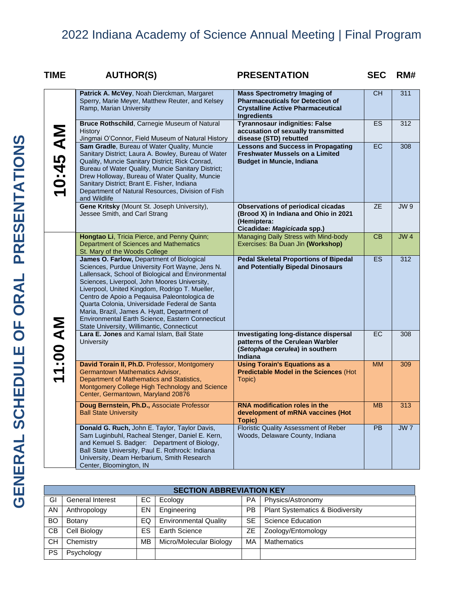| TIME     | <b>AUTHOR(S)</b>                                                                                                                                                                                                                                                                                                                                                                                                                                                                                        | <b>PRESENTATION</b>                                                                                                                              | <b>SEC</b> | RM#             |
|----------|---------------------------------------------------------------------------------------------------------------------------------------------------------------------------------------------------------------------------------------------------------------------------------------------------------------------------------------------------------------------------------------------------------------------------------------------------------------------------------------------------------|--------------------------------------------------------------------------------------------------------------------------------------------------|------------|-----------------|
|          | Patrick A. McVey, Noah Dierckman, Margaret<br>Sperry, Marie Meyer, Matthew Reuter, and Kelsey<br>Ramp, Marian University                                                                                                                                                                                                                                                                                                                                                                                | <b>Mass Spectrometry Imaging of</b><br><b>Pharmaceuticals for Detection of</b><br><b>Crystalline Active Pharmaceutical</b><br><b>Ingredients</b> | <b>CH</b>  | 311             |
|          | Bruce Rothschild, Carnegie Museum of Natural<br><b>History</b><br>Jingmai O'Connor, Field Museum of Natural History                                                                                                                                                                                                                                                                                                                                                                                     | <b>Tyrannosaur indignities: False</b><br>accusation of sexually transmitted<br>disease (STD) rebutted                                            | ES.        | 312             |
| 10:45 AM | Sam Gradle, Bureau of Water Quality, Muncie<br>Sanitary District; Laura A. Bowley, Bureau of Water<br>Quality, Muncie Sanitary District; Rick Conrad,<br>Bureau of Water Quality, Muncie Sanitary District;<br>Drew Holloway, Bureau of Water Quality, Muncie<br>Sanitary District; Brant E. Fisher, Indiana<br>Department of Natural Resources, Division of Fish<br>and Wildlife                                                                                                                       | <b>Lessons and Success in Propagating</b><br><b>Freshwater Mussels on a Limited</b><br><b>Budget in Muncie, Indiana</b>                          | EC.        | 308             |
|          | Gene Kritsky (Mount St. Joseph University),<br>Jessee Smith, and Carl Strang                                                                                                                                                                                                                                                                                                                                                                                                                            | <b>Observations of periodical cicadas</b><br>(Brood X) in Indiana and Ohio in 2021<br>(Hemiptera:<br>Cicadidae: Magicicada spp.)                 | <b>ZE</b>  | JW9             |
|          | Hongtao Li, Tricia Pierce, and Penny Quinn;<br>Department of Sciences and Mathematics<br>St. Mary of the Woods College                                                                                                                                                                                                                                                                                                                                                                                  | Managing Daily Stress with Mind-body<br>Exercises: Ba Duan Jin (Workshop)                                                                        | CB         | <b>JW4</b>      |
|          | James O. Farlow, Department of Biological<br>Sciences, Purdue University Fort Wayne, Jens N.<br>Lallensack, School of Biological and Environmental<br>Sciences, Liverpool, John Moores University,<br>Liverpool, United Kingdom, Rodrigo T. Mueller,<br>Centro de Apoio a Peqauisa Paleontologica de<br>Quarta Colonia, Universidade Federal de Santa<br>Maria, Brazil, James A. Hyatt, Department of<br>Environmental Earth Science, Eastern Connecticut<br>State University, Willimantic, Connecticut | <b>Pedal Skeletal Proportions of Bipedal</b><br>and Potentially Bipedal Dinosaurs                                                                | ES.        | 312             |
| 11:00 AM | Lara E. Jones and Kamal Islam, Ball State<br><b>University</b>                                                                                                                                                                                                                                                                                                                                                                                                                                          | Investigating long-distance dispersal<br>patterns of the Cerulean Warbler<br>(Setophaga cerulea) in southern<br>Indiana                          | EC         | 308             |
|          | David Torain II, Ph.D. Professor, Montgomery<br>Germantown Mathematics Advisor,<br>Department of Mathematics and Statistics,<br>Montgomery College High Technology and Science<br>Center, Germantown, Maryland 20876                                                                                                                                                                                                                                                                                    | <b>Using Torain's Equations as a</b><br><b>Predictable Model in the Sciences (Hot</b><br>Topic)                                                  | MМ         | 309             |
|          | Doug Bernstein, Ph.D., Associate Professor<br><b>Ball State University</b>                                                                                                                                                                                                                                                                                                                                                                                                                              | <b>RNA modification roles in the</b><br>development of mRNA vaccines (Hot<br>Topic)                                                              | <b>MB</b>  | 313             |
|          | Donald G. Ruch, John E. Taylor, Taylor Davis,<br>Sam Luginbuhl, Racheal Stenger, Daniel E. Kern,<br>and Kemuel S. Badger: Department of Biology,<br>Ball State University, Paul E. Rothrock: Indiana<br>University, Deam Herbarium, Smith Research<br>Center, Bloomington, IN                                                                                                                                                                                                                           | Floristic Quality Assessment of Reber<br>Woods, Delaware County, Indiana                                                                         | <b>PB</b>  | JW <sub>7</sub> |

|           | <b>SECTION ABBREVIATION KEY</b> |     |                              |           |                                             |  |  |
|-----------|---------------------------------|-----|------------------------------|-----------|---------------------------------------------|--|--|
| GI        | General Interest                | EC. | Ecology                      | PA        | Physics/Astronomy                           |  |  |
| AN        | Anthropology                    | EN  | Engineering                  | PB.       | <b>Plant Systematics &amp; Biodiversity</b> |  |  |
| <b>BO</b> | Botany                          | EQ  | <b>Environmental Quality</b> | <b>SE</b> | Science Education                           |  |  |
| <b>CB</b> | Cell Biology                    | ES  | Earth Science                | ZЕ        | Zoology/Entomology                          |  |  |
| CН        | Chemistry                       | MВ  | Micro/Molecular Biology      | МA        | Mathematics                                 |  |  |
| <b>PS</b> | Psychology                      |     |                              |           |                                             |  |  |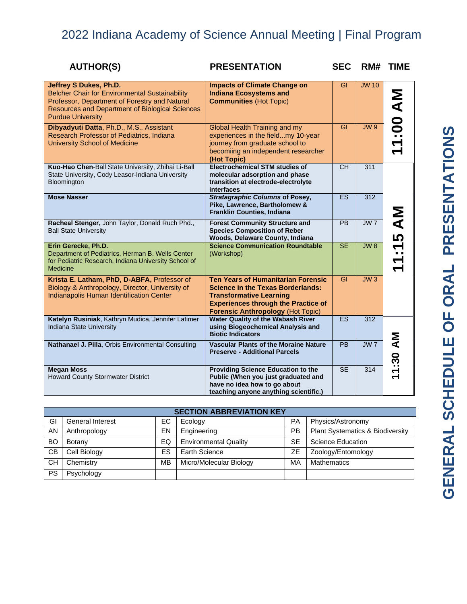| <b>AUTHOR(S)</b>                                                                                                                                                                                                       | <b>PRESENTATION</b>                                                                                                                                                                                               | <b>SEC</b>      | RM#             | <b>TIME</b>              |
|------------------------------------------------------------------------------------------------------------------------------------------------------------------------------------------------------------------------|-------------------------------------------------------------------------------------------------------------------------------------------------------------------------------------------------------------------|-----------------|-----------------|--------------------------|
| Jeffrey S Dukes, Ph.D.<br><b>Belcher Chair for Environmental Sustainability</b><br>Professor, Department of Forestry and Natural<br><b>Resources and Department of Biological Sciences</b><br><b>Purdue University</b> | <b>Impacts of Climate Change on</b><br><b>Indiana Ecosystems and</b><br><b>Communities (Hot Topic)</b>                                                                                                            | GI              | <b>JW 10</b>    | 11:00 AM                 |
| Dibyadyuti Datta, Ph.D., M.S., Assistant<br>Research Professor of Pediatrics, Indiana<br><b>University School of Medicine</b>                                                                                          | Global Health Training and my<br>experiences in the fieldmy 10-year<br>journey from graduate school to<br>becomiing an independent researcher<br>(Hot Topic)                                                      | GI              | <b>JW9</b>      |                          |
| Kuo-Hao Chen-Ball State University, Zhihai Li-Ball<br>State University, Cody Leasor-Indiana University<br>Bloomington                                                                                                  | <b>Electrochemical STM studies of</b><br>molecular adsorption and phase<br>transition at electrode-electrolyte<br>interfaces                                                                                      | $\overline{CH}$ | 311             |                          |
| <b>Mose Nasser</b>                                                                                                                                                                                                     | <b>Stratagraphic Columns of Posey,</b><br>Pike, Lawrence, Bartholomew &<br>Franklin Counties, Indiana                                                                                                             | <b>ES</b>       | 312             |                          |
| Racheal Stenger, John Taylor, Donald Ruch Phd.,<br><b>Ball State University</b>                                                                                                                                        | <b>Forest Community Structure and</b><br><b>Species Composition of Reber</b><br>Woods, Delaware County, Indiana                                                                                                   | <b>PB</b>       | <b>JW7</b>      | :15 AM                   |
| Erin Gerecke, Ph.D.<br>Department of Pediatrics, Herman B. Wells Center<br>for Pediatric Research, Indiana University School of<br><b>Medicine</b>                                                                     | <b>Science Communication Roundtable</b><br>(Workshop)                                                                                                                                                             | SE              | JW8             | $\blacktriangledown$     |
| Krista E. Latham, PhD, D-ABFA, Professor of<br>Biology & Anthropology, Director, University of<br>Indianapolis Human Identification Center                                                                             | <b>Ten Years of Humanitarian Forensic</b><br><b>Science in the Texas Borderlands:</b><br><b>Transformative Learning</b><br><b>Experiences through the Practice of</b><br><b>Forensic Anthropology (Hot Topic)</b> | $\overline{GI}$ | JW3             |                          |
| Katelyn Rusiniak, Kathryn Mudica, Jennifer Latimer<br>Indiana State University                                                                                                                                         | <b>Water Quality of the Wabash River</b><br>using Biogeochemical Analysis and<br><b>Biotic Indicators</b>                                                                                                         | <b>ES</b>       | 312             |                          |
| Nathanael J. Pilla, Orbis Environmental Consulting                                                                                                                                                                     | <b>Vascular Plants of the Moraine Nature</b><br><b>Preserve - Additional Parcels</b>                                                                                                                              | $\overline{PB}$ | JW <sub>7</sub> | Μ<br>1:30                |
| <b>Megan Moss</b><br><b>Howard County Stormwater District</b>                                                                                                                                                          | <b>Providing Science Education to the</b><br>Public (When you just graduated and<br>have no idea how to go about<br>teaching anyone anything scientific.)                                                         | <b>SE</b>       | 314             | $\overline{\phantom{0}}$ |

| <b>SECTION ABBREVIATION KEY</b> |                         |     |                              |           |                                  |  |  |
|---------------------------------|-------------------------|-----|------------------------------|-----------|----------------------------------|--|--|
| GI                              | <b>General Interest</b> | EC. | Ecology                      | PA        | Physics/Astronomy                |  |  |
| AN                              | Anthropology            | EN  | Engineering                  | <b>PB</b> | Plant Systematics & Biodiversity |  |  |
| BO                              | Botany                  | EQ  | <b>Environmental Quality</b> | <b>SE</b> | <b>Science Education</b>         |  |  |
| <b>CB</b>                       | Cell Biology            | ES  | Earth Science                | <b>ZE</b> | Zoology/Entomology               |  |  |
| <b>CH</b>                       | Chemistry               | MВ  | Micro/Molecular Biology      | MA        | Mathematics                      |  |  |
| <b>PS</b>                       | Psychology              |     |                              |           |                                  |  |  |

# GENERAL SCHEDULE OF ORAL PRESENTATIONS **GENERAL SCHEDULE OF ORAL PRESENTATIONS**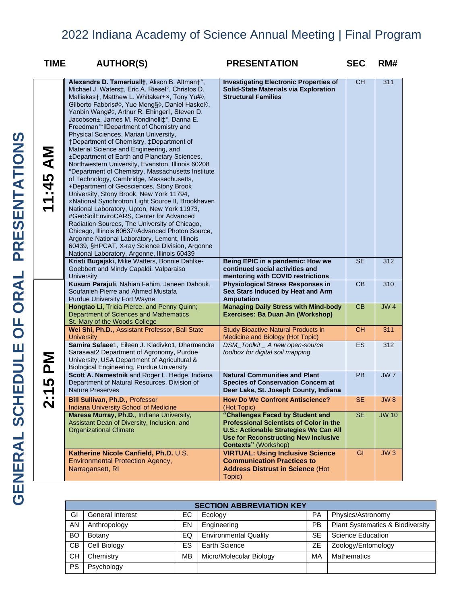| <b>TIME</b>                                                    | <b>AUTHOR(S)</b>                                                                                                                                                                                                                                                                                                                                                                                                                                                                                                                                                                                                                                                                                                                                                                                                                                                                                                                                                                                                                                                                                                                                                                                                                                     | <b>PRESENTATION</b>                                                                                                                                                                                               | <b>SEC</b> | RM#          |
|----------------------------------------------------------------|------------------------------------------------------------------------------------------------------------------------------------------------------------------------------------------------------------------------------------------------------------------------------------------------------------------------------------------------------------------------------------------------------------------------------------------------------------------------------------------------------------------------------------------------------------------------------------------------------------------------------------------------------------------------------------------------------------------------------------------------------------------------------------------------------------------------------------------------------------------------------------------------------------------------------------------------------------------------------------------------------------------------------------------------------------------------------------------------------------------------------------------------------------------------------------------------------------------------------------------------------|-------------------------------------------------------------------------------------------------------------------------------------------------------------------------------------------------------------------|------------|--------------|
| <b>INV 57:</b><br>$\blacktriangledown$<br>$\blacktriangledown$ | Alexandra D. Tameriusll†, Alison B. Altman†°,<br>Michael J. Waters‡, Eric A. Riesel°, Christos D.<br>Malliakas†, Matthew L. Whitaker+×, Tony Yu# $\Diamond$ ,<br>Gilberto Fabbris# $\Diamond$ , Yue Meng§ $\Diamond$ , Daniel Haskel $\Diamond$ ,<br>Yanbin Wang# $\Diamond$ , Arthur R. Ehingerll, Steven D.<br>Jacobsen±, James M. Rondinelli‡*, Danna E.<br>Freedman <sup>o*</sup> IIDepartment of Chemistry and<br>Physical Sciences, Marian University,<br>†Department of Chemistry, ‡Department of<br>Material Science and Engineering, and<br>±Department of Earth and Planetary Sciences,<br>Northwestern University, Evanston, Illinois 60208<br>°Department of Chemistry, Massachusetts Institute<br>of Technology, Cambridge, Massachusetts,<br>+Department of Geosciences, Stony Brook<br>University, Stony Brook, New York 11794,<br>xNational Synchrotron Light Source II, Brookhaven<br>National Laboratory, Upton, New York 11973,<br>#GeoSoilEnviroCARS, Center for Advanced<br>Radiation Sources, The University of Chicago,<br>Chicago, Illinois 606370Advanced Photon Source,<br>Argonne National Laboratory, Lemont, Illinois<br>60439, §HPCAT, X-ray Science Division, Argonne<br>National Laboratory, Argonne, Illinois 60439 | <b>Investigating Electronic Properties of</b><br>Solid-State Materials via Exploration<br><b>Structural Families</b>                                                                                              | <b>CH</b>  | 311          |
|                                                                | Kristi Bugajski, Mike Watters, Bonnie Dahlke-<br>Goebbert and Mindy Capaldi, Valparaiso<br><b>University</b>                                                                                                                                                                                                                                                                                                                                                                                                                                                                                                                                                                                                                                                                                                                                                                                                                                                                                                                                                                                                                                                                                                                                         | Being EPIC in a pandemic: How we<br>continued social activities and<br>mentoring with COVID restrictions                                                                                                          | <b>SE</b>  | 312          |
|                                                                | Kusum Parajuli, Nahian Fahim, Janeen Dahouk,<br>Soufanieh Pierre and Ahmed Mustafa<br><b>Purdue University Fort Wayne</b>                                                                                                                                                                                                                                                                                                                                                                                                                                                                                                                                                                                                                                                                                                                                                                                                                                                                                                                                                                                                                                                                                                                            | <b>Physiological Stress Responses in</b><br>Sea Stars Induced by Heat and Arm<br><b>Amputation</b>                                                                                                                | CB         | 310          |
|                                                                | Hongtao Li, Tricia Pierce, and Penny Quinn;<br>Department of Sciences and Mathematics<br>St. Mary of the Woods College                                                                                                                                                                                                                                                                                                                                                                                                                                                                                                                                                                                                                                                                                                                                                                                                                                                                                                                                                                                                                                                                                                                               | <b>Managing Daily Stress with Mind-body</b><br>Exercises: Ba Duan Jin (Workshop)                                                                                                                                  | CB         | <b>JW4</b>   |
|                                                                | Wei Shi, Ph.D., Assistant Professor, Ball State<br><b>University</b>                                                                                                                                                                                                                                                                                                                                                                                                                                                                                                                                                                                                                                                                                                                                                                                                                                                                                                                                                                                                                                                                                                                                                                                 | <b>Study Bioactive Natural Products in</b><br>Medicine and Biology (Hot Topic)                                                                                                                                    | <b>CH</b>  | 311          |
| Σ<br>Δ                                                         | Samira Safaee1, Eileen J. Kladivko1, Dharmendra<br>Saraswat2 Department of Agronomy, Purdue<br>University, USA Department of Agricultural &<br><b>Biological Engineering, Purdue University</b>                                                                                                                                                                                                                                                                                                                                                                                                                                                                                                                                                                                                                                                                                                                                                                                                                                                                                                                                                                                                                                                      | DSM_Toolkit _ A new open-source<br>toolbox for digital soil mapping                                                                                                                                               | ES         | 312          |
| 5<br>$\blacktriangledown$                                      | Scott A. Namestnik and Roger L. Hedge, Indiana<br>Department of Natural Resources, Division of<br><b>Nature Preserves</b>                                                                                                                                                                                                                                                                                                                                                                                                                                                                                                                                                                                                                                                                                                                                                                                                                                                                                                                                                                                                                                                                                                                            | <b>Natural Communities and Plant</b><br><b>Species of Conservation Concern at</b><br>Deer Lake, St. Joseph County, Indiana                                                                                        | PB         | JW7          |
| . .<br>N                                                       | <b>Bill Sullivan, Ph.D., Professor</b><br><b>Indiana University School of Medicine</b>                                                                                                                                                                                                                                                                                                                                                                                                                                                                                                                                                                                                                                                                                                                                                                                                                                                                                                                                                                                                                                                                                                                                                               | <b>How Do We Confront Antiscience?</b><br>(Hot Topic)                                                                                                                                                             | SE         | JW 8         |
|                                                                | Maresa Murray, Ph.D., Indiana University,<br>Assistant Dean of Diversity, Inclusion, and<br><b>Organizational Climate</b>                                                                                                                                                                                                                                                                                                                                                                                                                                                                                                                                                                                                                                                                                                                                                                                                                                                                                                                                                                                                                                                                                                                            | "Challenges Faced by Student and<br><b>Professional Scientists of Color in the</b><br><b>U.S.: Actionable Strategies We Can All</b><br><b>Use for Reconstructing New Inclusive</b><br><b>Contexts" (Workshop)</b> | <b>SE</b>  | <b>JW 10</b> |
|                                                                | Katherine Nicole Canfield, Ph.D. U.S.<br><b>Environmental Protection Agency,</b><br>Narragansett, RI                                                                                                                                                                                                                                                                                                                                                                                                                                                                                                                                                                                                                                                                                                                                                                                                                                                                                                                                                                                                                                                                                                                                                 | <b>VIRTUAL: Using Inclusive Science</b><br><b>Communication Practices to</b><br><b>Address Distrust in Science (Hot</b><br>Topic)                                                                                 | GI         | JW3          |

|    | <b>SECTION ABBREVIATION KEY</b> |    |                              |           |                                             |  |  |
|----|---------------------------------|----|------------------------------|-----------|---------------------------------------------|--|--|
| GI | <b>General Interest</b>         | ЕC | Ecology                      | PA        | Physics/Astronomy                           |  |  |
| AN | Anthropology                    | EN | Engineering                  | <b>PB</b> | <b>Plant Systematics &amp; Biodiversity</b> |  |  |
| BO | Botany                          | EQ | <b>Environmental Quality</b> | <b>SE</b> | Science Education                           |  |  |
| CВ | Cell Biology                    | ES | Earth Science                | ΖE        | Zoology/Entomology                          |  |  |
| CН | Chemistry                       | MB | Micro/Molecular Biology      | MA        | Mathematics                                 |  |  |
| PS | Psychology                      |    |                              |           |                                             |  |  |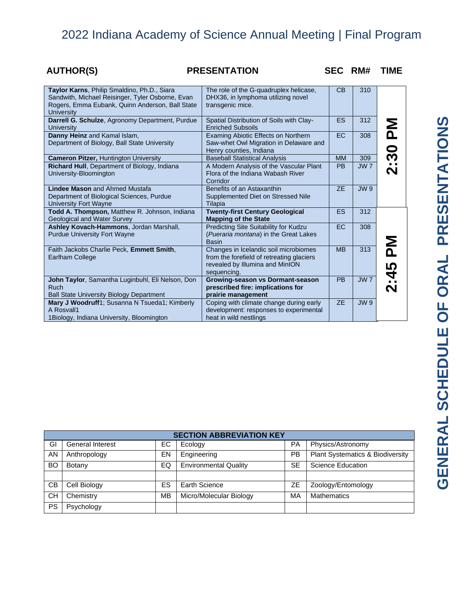# **AUTHOR(S) PRESENTATION SEC RM# TIME**

| Taylor Karns, Philip Smaldino, Ph.D., Siara<br>Sandwith, Michael Reisinger, Tyler Osborne, Evan<br>Rogers, Emma Eubank, Quinn Anderson, Ball State<br><b>University</b> | The role of the G-quadruplex helicase,<br>DHX36, in lymphoma utilizing novel<br>transgenic mice.                                     | CB        | 310             |                              |
|-------------------------------------------------------------------------------------------------------------------------------------------------------------------------|--------------------------------------------------------------------------------------------------------------------------------------|-----------|-----------------|------------------------------|
| Darrell G. Schulze, Agronomy Department, Purdue<br>University                                                                                                           | Spatial Distribution of Soils with Clay-<br><b>Enriched Subsoils</b>                                                                 | <b>ES</b> | 312             | Σ<br>Δ                       |
| Danny Heinz and Kamal Islam,<br>Department of Biology, Ball State University                                                                                            | Examing Abiotic Effects on Northern<br>Saw-whet Owl Migration in Delaware and<br>Henry counties, Indiana                             | <b>EC</b> | 308             |                              |
| <b>Cameron Pitzer, Huntington University</b>                                                                                                                            | <b>Baseball Statistical Analysis</b>                                                                                                 | <b>MM</b> | 309             |                              |
| Richard Hull, Department of Biology, Indiana<br>University-Bloomington                                                                                                  | A Modern Analysis of the Vascular Plant<br>Flora of the Indiana Wabash River<br>Corridor                                             | <b>PB</b> | JW <sub>7</sub> | 2:30                         |
| Lindee Mason and Ahmed Mustafa<br>Department of Biological Sciences, Purdue<br><b>University Fort Wayne</b>                                                             | Benefits of an Astaxanthin<br>Supplemented Diet on Stressed Nile<br>Tilapia                                                          | ZE        | <b>JW9</b>      |                              |
| <b>Todd A. Thompson, Matthew R. Johnson, Indiana</b><br>Geological and Water Survey                                                                                     | <b>Twenty-first Century Geological</b><br><b>Mapping of the State</b>                                                                | ES        | 312             |                              |
| Ashley Kovach-Hammons, Jordan Marshall,<br><b>Purdue University Fort Wayne</b>                                                                                          | Predicting Site Suitability for Kudzu<br>(Pueraria montana) in the Great Lakes<br>Basin                                              | <b>EC</b> | 308             |                              |
| Faith Jackobs Charlie Peck, Emmett Smith,<br><b>Earlham College</b>                                                                                                     | Changes in Icelandic soil microbiomes<br>from the forefield of retreating glaciers<br>revealed by Illumina and MinION<br>sequencing. | <b>MB</b> | 313             | Σ<br>Δ<br>5                  |
| John Taylor, Samantha Luginbuhl, Eli Nelson, Don<br><b>Ruch</b><br><b>Ball State University Biology Department</b>                                                      | Growing-season vs Dormant-season<br>prescribed fire: implications for<br>prairie management                                          | <b>PB</b> | <b>JW7</b>      | À<br>$\overline{\mathbf{N}}$ |
| Mary J Woodruff1; Susanna N Tsueda1; Kimberly<br>A Rosvall1<br>1 Biology, Indiana University, Bloomington                                                               | Coping with climate change during early<br>development: responses to experimental<br>heat in wild nestlings                          | <b>ZE</b> | <b>JW9</b>      |                              |

|           | <b>SECTION ABBREVIATION KEY</b> |     |                              |           |                                             |  |  |  |
|-----------|---------------------------------|-----|------------------------------|-----------|---------------------------------------------|--|--|--|
| GI        | <b>General Interest</b>         | EC. | Ecology                      | РA        | Physics/Astronomy                           |  |  |  |
| AN        | Anthropology                    | EN  | Engineering                  | PB        | <b>Plant Systematics &amp; Biodiversity</b> |  |  |  |
| <b>BO</b> | Botany                          | EQ  | <b>Environmental Quality</b> | <b>SE</b> | <b>Science Education</b>                    |  |  |  |
|           |                                 |     |                              |           |                                             |  |  |  |
| СB        | Cell Biology                    | ES  | Earth Science                | ZΕ        | Zoology/Entomology                          |  |  |  |
| CН        | Chemistry                       | МB  | Micro/Molecular Biology      | МA        | <b>Mathematics</b>                          |  |  |  |
| <b>PS</b> | Psychology                      |     |                              |           |                                             |  |  |  |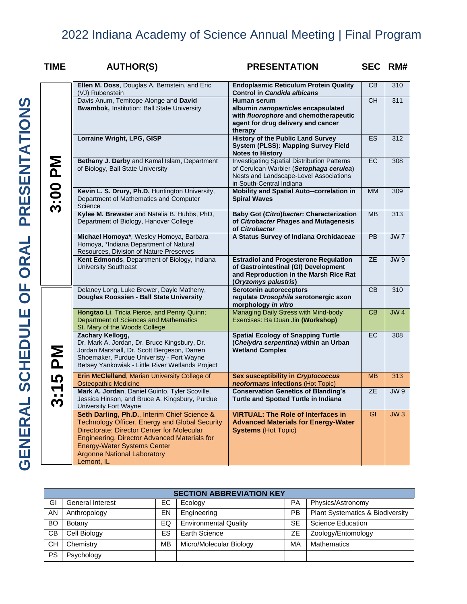| <b>TIME</b>           | <b>AUTHOR(S)</b>                                                                                                             |                                                                                                                                                                                                                                                                          |                                                                                                                                                        | <b>PRESENTATION</b>                                                                                                                                                 |                                                    |                                                                                                              | <b>SEC</b>      | RM#              |  |
|-----------------------|------------------------------------------------------------------------------------------------------------------------------|--------------------------------------------------------------------------------------------------------------------------------------------------------------------------------------------------------------------------------------------------------------------------|--------------------------------------------------------------------------------------------------------------------------------------------------------|---------------------------------------------------------------------------------------------------------------------------------------------------------------------|----------------------------------------------------|--------------------------------------------------------------------------------------------------------------|-----------------|------------------|--|
|                       | Ellen M. Doss, Douglas A. Bernstein, and Eric<br>(VJ) Rubenstein                                                             |                                                                                                                                                                                                                                                                          |                                                                                                                                                        | <b>Endoplasmic Reticulum Protein Quality</b><br>Control in Candida albicans                                                                                         |                                                    |                                                                                                              | CB              | 310              |  |
|                       | Davis Anum, Temitope Alonge and David<br><b>Bwambok, Institution: Ball State University</b>                                  |                                                                                                                                                                                                                                                                          |                                                                                                                                                        | Human serum<br>albumin nanoparticles encapsulated<br>with fluorophore and chemotherapeutic<br>agent for drug delivery and cancer<br>therapy                         |                                                    |                                                                                                              | <b>CH</b>       | 311              |  |
|                       | Lorraine Wright, LPG, GISP                                                                                                   |                                                                                                                                                                                                                                                                          |                                                                                                                                                        | <b>History of the Public Land Survey</b><br><b>System (PLSS): Mapping Survey Field</b><br><b>Notes to History</b>                                                   |                                                    |                                                                                                              | ES.             | 312              |  |
| 3:00 PM               | Bethany J. Darby and Kamal Islam, Department<br>of Biology, Ball State University                                            |                                                                                                                                                                                                                                                                          |                                                                                                                                                        | <b>Investigating Spatial Distribution Patterns</b><br>of Cerulean Warbler (Setophaga cerulea)<br>Nests and Landscape-Level Associations<br>in South-Central Indiana |                                                    |                                                                                                              | EC.             | 308              |  |
|                       | Kevin L. S. Drury, Ph.D. Huntington University,<br>Department of Mathematics and Computer<br>Science                         |                                                                                                                                                                                                                                                                          |                                                                                                                                                        | Mobility and Spatial Auto--correlation in<br><b>Spiral Waves</b>                                                                                                    |                                                    |                                                                                                              | <b>MM</b>       | 309              |  |
|                       | Kylee M. Brewster and Natalia B. Hubbs, PhD,<br>Department of Biology, Hanover College                                       |                                                                                                                                                                                                                                                                          |                                                                                                                                                        | <b>Baby Got (Citro)bacter: Characterization</b><br>of Citrobacter Phages and Mutagenesis<br>of Citrobacter                                                          |                                                    |                                                                                                              | <b>MB</b>       | $\overline{313}$ |  |
|                       | Michael Homoya*, Wesley Homoya, Barbara<br>Homoya, *Indiana Department of Natural<br>Resources, Division of Nature Preserves |                                                                                                                                                                                                                                                                          | A Status Survey of Indiana Orchidaceae                                                                                                                 |                                                                                                                                                                     |                                                    | <b>PB</b>                                                                                                    | JW <sub>7</sub> |                  |  |
|                       | Kent Edmonds, Department of Biology, Indiana<br><b>University Southeast</b>                                                  |                                                                                                                                                                                                                                                                          | <b>Estradiol and Progesterone Regulation</b><br>of Gastrointestinal (GI) Development<br>and Reproduction in the Marsh Rice Rat<br>(Oryzomys palustris) |                                                                                                                                                                     |                                                    | <b>ZE</b>                                                                                                    | JW9             |                  |  |
|                       | Delaney Long, Luke Brewer, Dayle Matheny,<br>Douglas Roossien - Ball State University                                        |                                                                                                                                                                                                                                                                          |                                                                                                                                                        | <b>Serotonin autoreceptors</b><br>regulate Drosophila serotonergic axon<br>morphology in vitro                                                                      |                                                    |                                                                                                              | CB              | 310              |  |
|                       | St. Mary of the Woods College                                                                                                | Hongtao Li, Tricia Pierce, and Penny Quinn;<br>Department of Sciences and Mathematics                                                                                                                                                                                    |                                                                                                                                                        |                                                                                                                                                                     |                                                    | Managing Daily Stress with Mind-body<br>Exercises: Ba Duan Jin (Workshop)                                    |                 |                  |  |
| MA                    | Zachary Kellogg,                                                                                                             | Dr. Mark A. Jordan, Dr. Bruce Kingsbury, Dr.<br>Jordan Marshall, Dr. Scott Bergeson, Darren<br>Shoemaker, Purdue Univeristy - Fort Wayne<br>Betsey Yankowiak - Little River Wetlands Project                                                                             |                                                                                                                                                        |                                                                                                                                                                     |                                                    | <b>Spatial Ecology of Snapping Turtle</b><br>(Chelydra serpentina) within an Urban<br><b>Wetland Complex</b> |                 |                  |  |
| 5                     | Erin McClelland, Marian University College of                                                                                |                                                                                                                                                                                                                                                                          |                                                                                                                                                        | Sex susceptibility in Cryptococcus<br>neoformans infections (Hot Topic)                                                                                             |                                                    |                                                                                                              |                 | 313              |  |
| $\sum_{i=1}^{n}$<br>S | <b>University Fort Wayne</b>                                                                                                 | <b>Osteopathic Medicine</b><br>Mark A. Jordan, Daniel Guinto, Tyler Scoville,<br>Jessica Hinson, and Bruce A. Kingsbury, Purdue                                                                                                                                          |                                                                                                                                                        |                                                                                                                                                                     |                                                    | <b>Conservation Genetics of Blanding's</b><br><b>Turtle and Spotted Turtle in Indiana</b>                    |                 |                  |  |
|                       | Lemont, IL                                                                                                                   | Seth Darling, Ph.D., Interim Chief Science &<br>Technology Officer, Energy and Global Security<br>Directorate; Director Center for Molecular<br>Engineering, Director Advanced Materials for<br><b>Energy-Water Systems Center</b><br><b>Argonne National Laboratory</b> |                                                                                                                                                        |                                                                                                                                                                     | <b>Systems (Hot Topic)</b>                         | <b>VIRTUAL: The Role of Interfaces in</b><br><b>Advanced Materials for Energy-Water</b>                      | GI              | JW3              |  |
|                       |                                                                                                                              |                                                                                                                                                                                                                                                                          |                                                                                                                                                        |                                                                                                                                                                     |                                                    |                                                                                                              |                 |                  |  |
|                       |                                                                                                                              |                                                                                                                                                                                                                                                                          |                                                                                                                                                        | <b>SECTION ABBREVIATION KEY</b>                                                                                                                                     |                                                    |                                                                                                              |                 |                  |  |
| GI                    | <b>General Interest</b>                                                                                                      | EC                                                                                                                                                                                                                                                                       | Ecology                                                                                                                                                |                                                                                                                                                                     | PA                                                 | Physics/Astronomy                                                                                            |                 |                  |  |
| AN                    | Anthropology                                                                                                                 | EN                                                                                                                                                                                                                                                                       | Engineering                                                                                                                                            |                                                                                                                                                                     | PB                                                 | Plant Systematics & Biodiversity                                                                             |                 |                  |  |
| BO                    | Botany                                                                                                                       | EQ                                                                                                                                                                                                                                                                       | <b>Environmental Quality</b>                                                                                                                           |                                                                                                                                                                     | $\overline{\text{SE}}$<br><b>Science Education</b> |                                                                                                              |                 |                  |  |
| CВ                    | Cell Biology                                                                                                                 | <b>ES</b>                                                                                                                                                                                                                                                                | <b>Earth Science</b>                                                                                                                                   |                                                                                                                                                                     | <b>ZE</b>                                          | Zoology/Entomology                                                                                           |                 |                  |  |
| <b>CH</b>             | Chemistry                                                                                                                    | <b>MB</b>                                                                                                                                                                                                                                                                | Micro/Molecular Biology                                                                                                                                |                                                                                                                                                                     | MA                                                 | <b>Mathematics</b>                                                                                           |                 |                  |  |
| <b>PS</b>             | Psychology                                                                                                                   |                                                                                                                                                                                                                                                                          |                                                                                                                                                        |                                                                                                                                                                     |                                                    |                                                                                                              |                 |                  |  |

| <b>SECTION ABBREVIATION KEY</b> |                         |    |                              |           |                                  |  |  |
|---------------------------------|-------------------------|----|------------------------------|-----------|----------------------------------|--|--|
| GI                              | <b>General Interest</b> | EС | Ecology                      | PA        | Physics/Astronomy                |  |  |
| AN                              | Anthropology            | EN | Engineering                  | PB        | Plant Systematics & Biodiversity |  |  |
| BO                              | Botany                  | EQ | <b>Environmental Quality</b> | <b>SE</b> | Science Education                |  |  |
| <b>CB</b>                       | Cell Biology            | ES | Earth Science                | ZЕ        | Zoology/Entomology               |  |  |
| <b>CH</b>                       | Chemistry               | ΜВ | Micro/Molecular Biology      | МA        | <b>Mathematics</b>               |  |  |
| <b>PS</b>                       | Psychology              |    |                              |           |                                  |  |  |